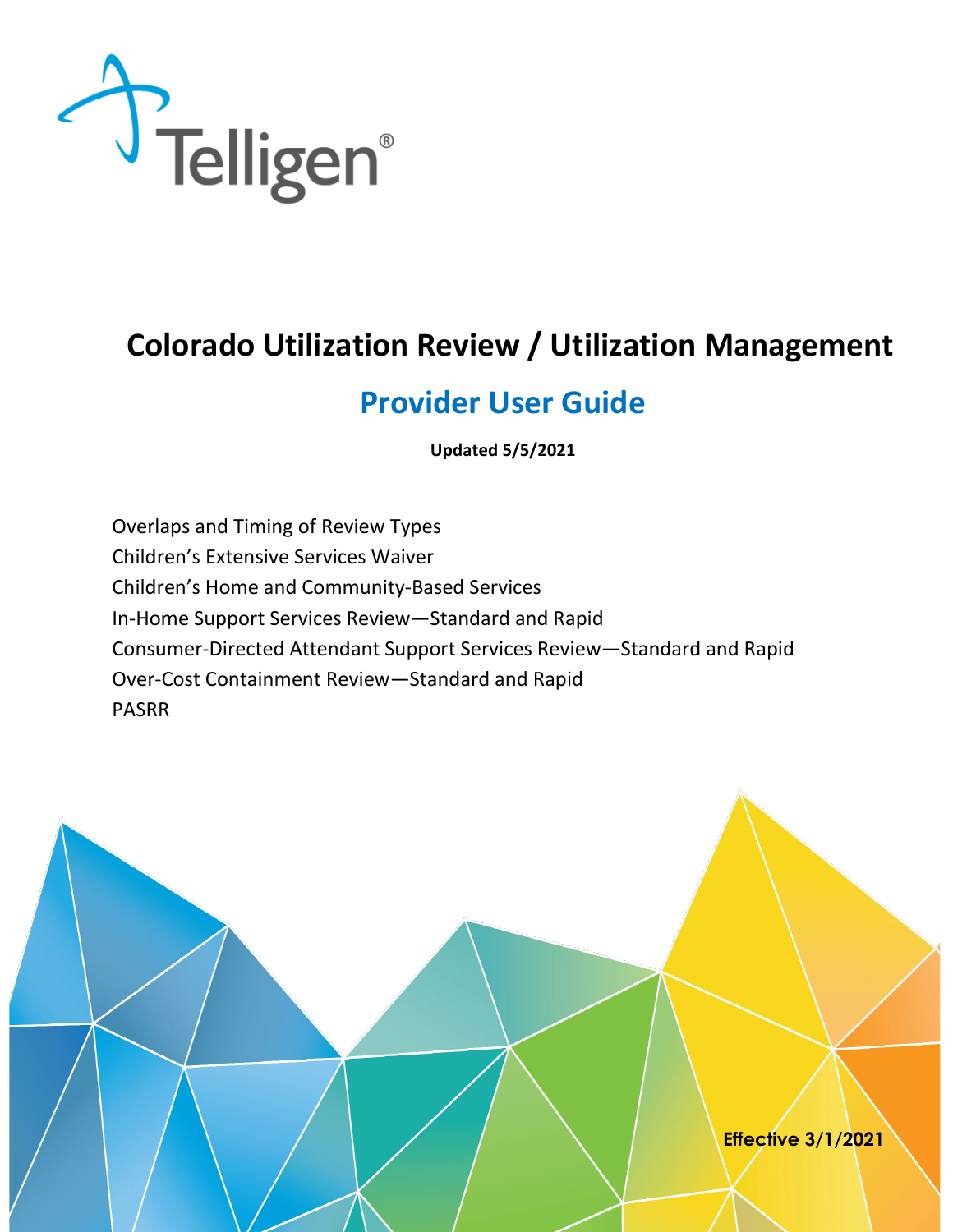

# **Colorado Utilization Review / Utilization Management**

# **Provider User Guide**

**Updated 5/5/2021** 

Overlaps and Timing of Review Types Children's Extensive Services Waiver Children's Home and Community-Based Services In-Home Support Services Review—Standard and Rapid Consumer-Directed Attendant Support Services Review—Standard and Rapid Over-Cost Containment Review—Standard and Rapid PASRR

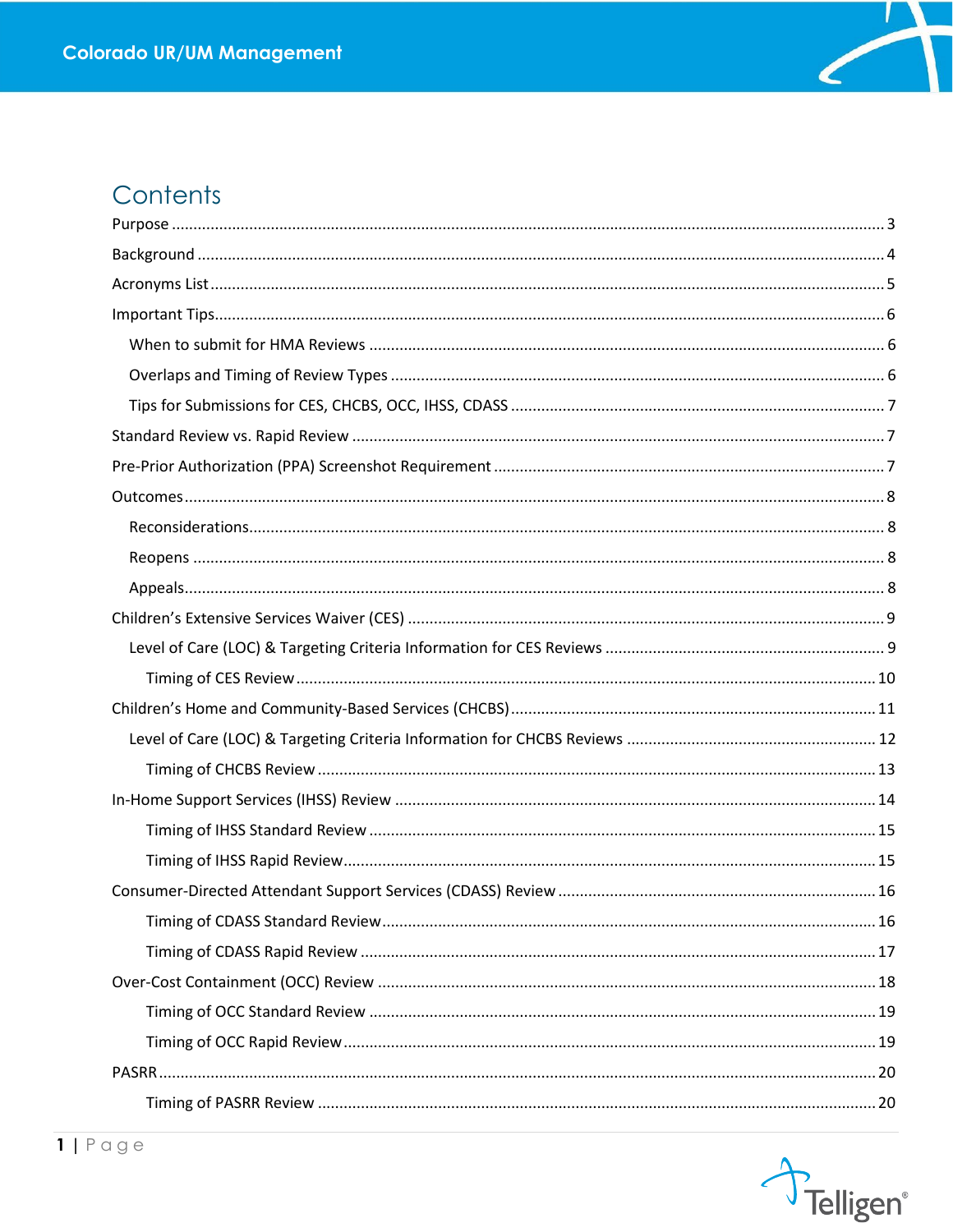

## Contents

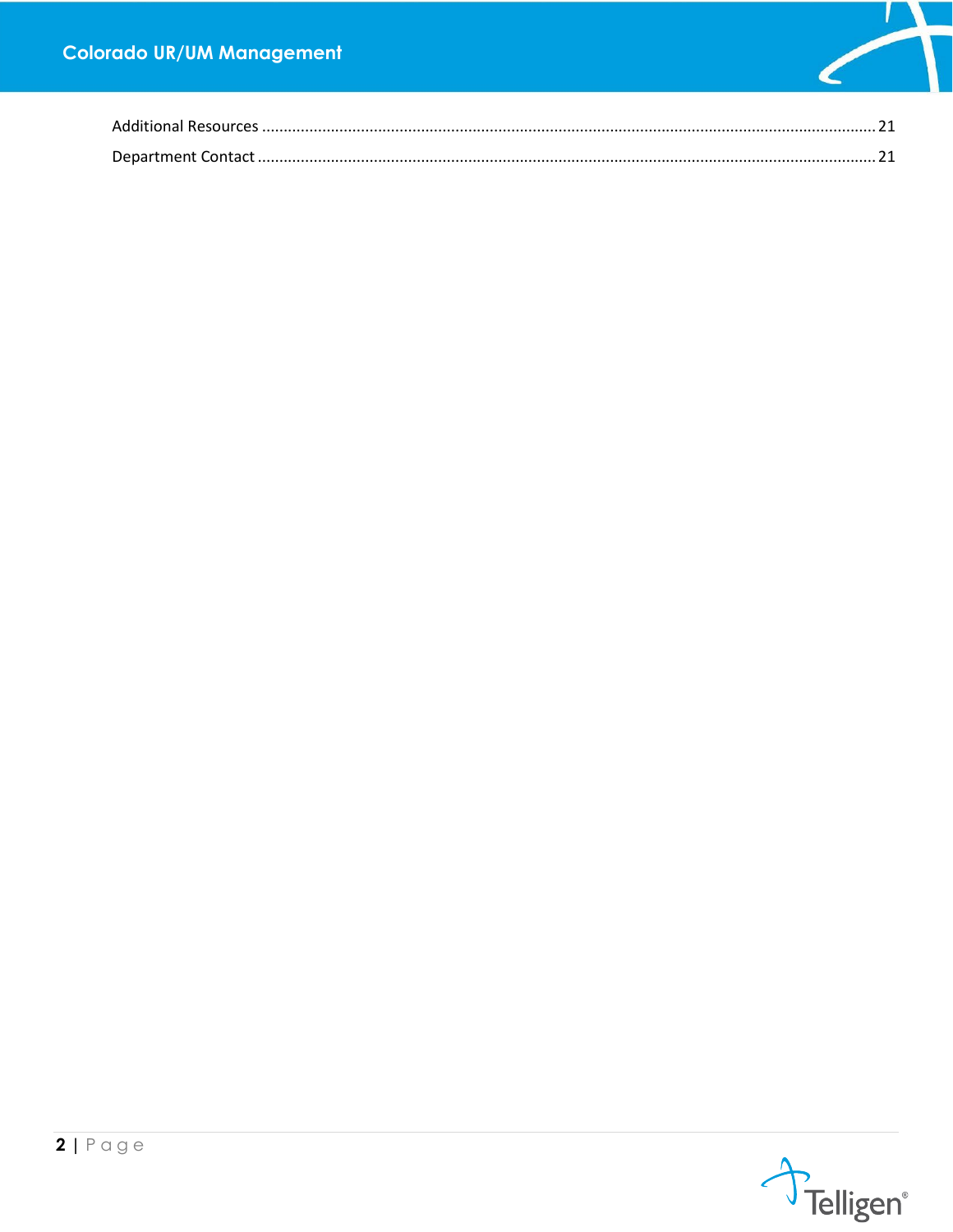

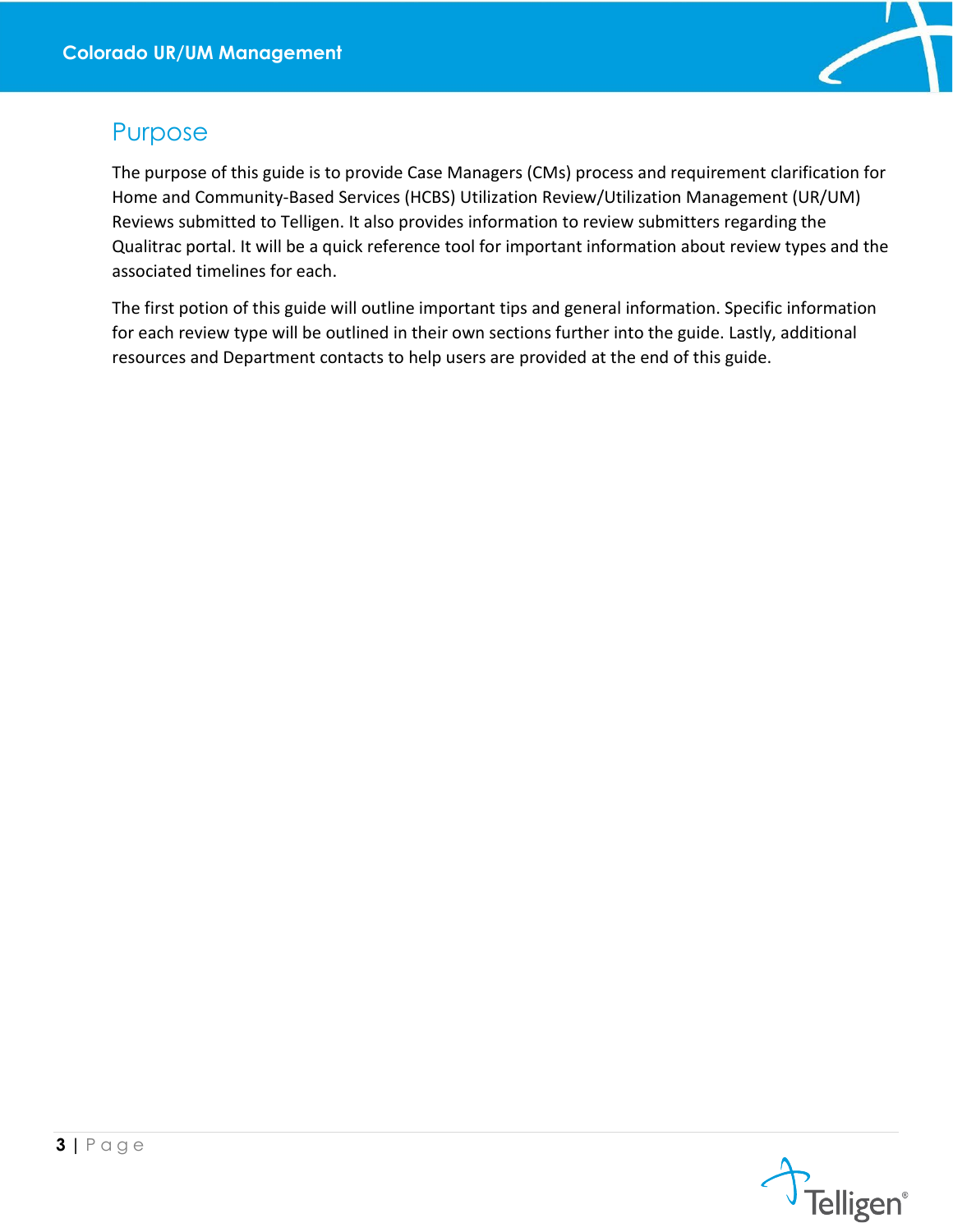

## <span id="page-3-0"></span>Purpose

The purpose of this guide is to provide Case Managers (CMs) process and requirement clarification for Home and Community-Based Services (HCBS) Utilization Review/Utilization Management (UR/UM) Reviews submitted to Telligen. It also provides information to review submitters regarding the Qualitrac portal. It will be a quick reference tool for important information about review types and the associated timelines for each.

The first potion of this guide will outline important tips and general information. Specific information for each review type will be outlined in their own sections further into the guide. Lastly, additional resources and Department contacts to help users are provided at the end of this guide.

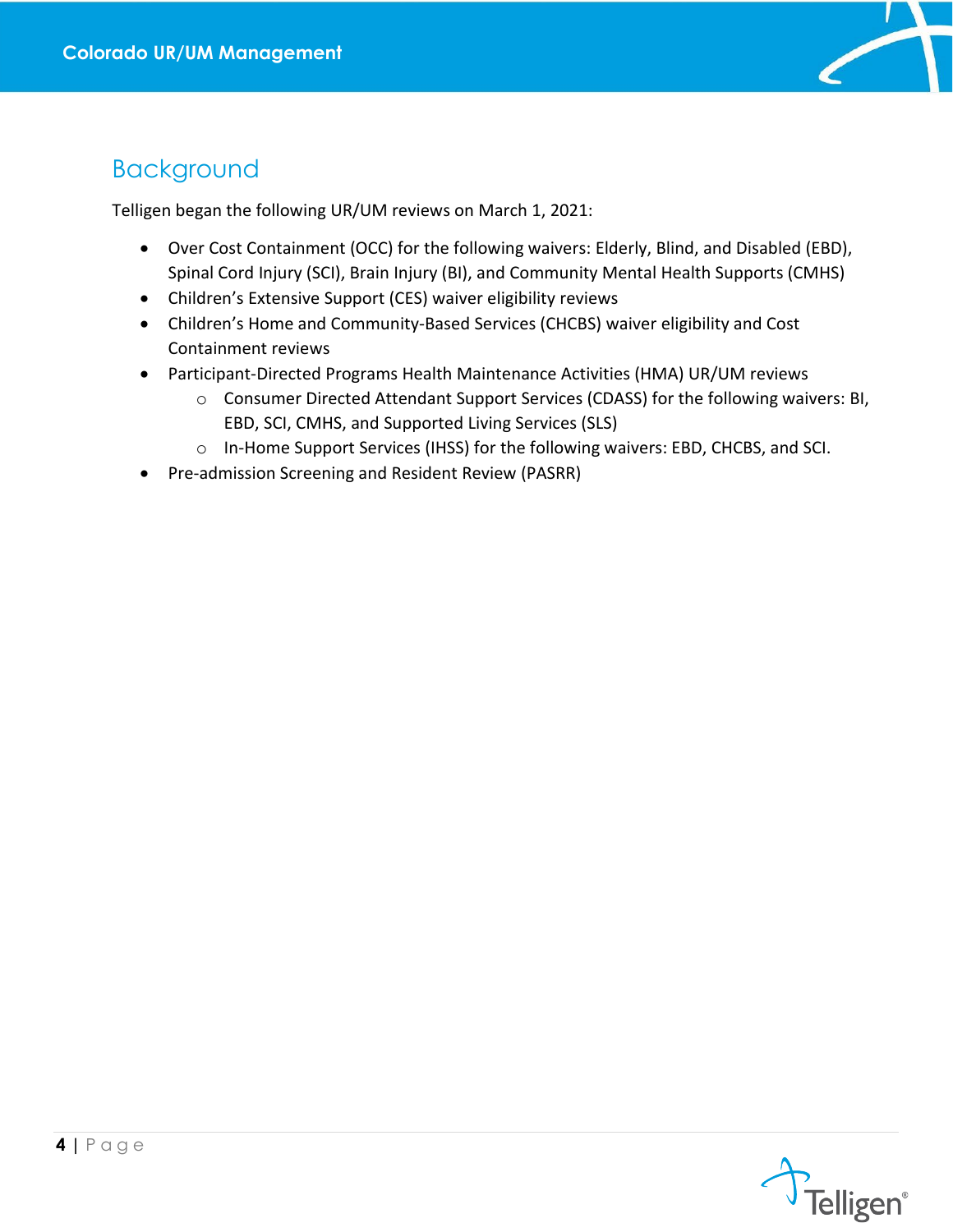

## <span id="page-4-0"></span>Background

Telligen began the following UR/UM reviews on March 1, 2021:

- Over Cost Containment (OCC) for the following waivers: Elderly, Blind, and Disabled (EBD), Spinal Cord Injury (SCI), Brain Injury (BI), and Community Mental Health Supports (CMHS)
- Children's Extensive Support (CES) waiver eligibility reviews
- Children's Home and Community-Based Services (CHCBS) waiver eligibility and Cost Containment reviews
- Participant-Directed Programs Health Maintenance Activities (HMA) UR/UM reviews
	- o Consumer Directed Attendant Support Services (CDASS) for the following waivers: BI, EBD, SCI, CMHS, and Supported Living Services (SLS)
	- o In-Home Support Services (IHSS) for the following waivers: EBD, CHCBS, and SCI.
- Pre-admission Screening and Resident Review (PASRR)

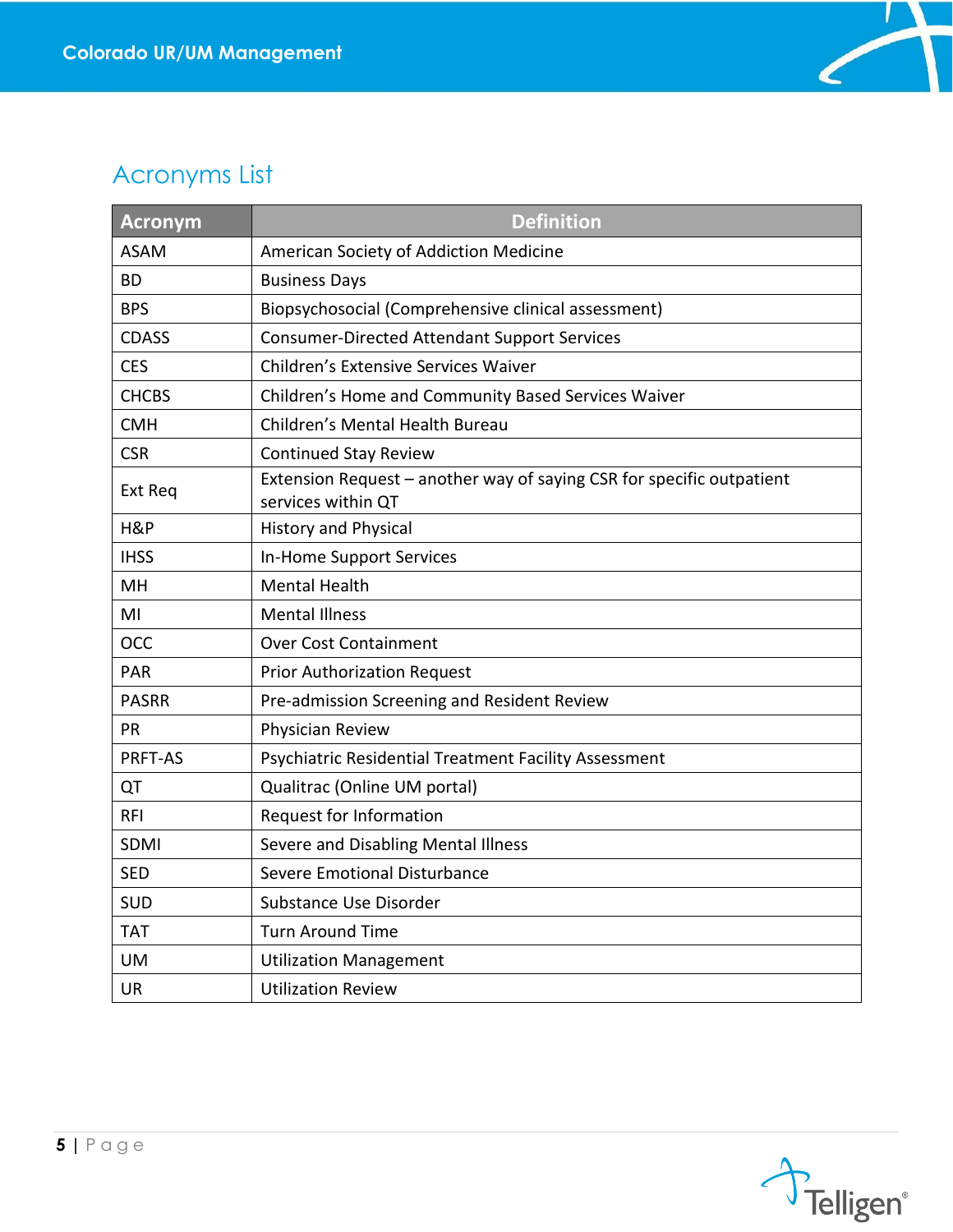

# <span id="page-5-0"></span>Acronyms List

| Acronym      | <b>Definition</b>                                                                           |
|--------------|---------------------------------------------------------------------------------------------|
| <b>ASAM</b>  | American Society of Addiction Medicine                                                      |
| <b>BD</b>    | <b>Business Days</b>                                                                        |
| <b>BPS</b>   | Biopsychosocial (Comprehensive clinical assessment)                                         |
| <b>CDASS</b> | <b>Consumer-Directed Attendant Support Services</b>                                         |
| <b>CES</b>   | Children's Extensive Services Waiver                                                        |
| <b>CHCBS</b> | Children's Home and Community Based Services Waiver                                         |
| <b>CMH</b>   | Children's Mental Health Bureau                                                             |
| <b>CSR</b>   | <b>Continued Stay Review</b>                                                                |
| Ext Req      | Extension Request - another way of saying CSR for specific outpatient<br>services within QT |
| H&P          | <b>History and Physical</b>                                                                 |
| <b>IHSS</b>  | In-Home Support Services                                                                    |
| MH           | <b>Mental Health</b>                                                                        |
| MI           | <b>Mental Illness</b>                                                                       |
| <b>OCC</b>   | <b>Over Cost Containment</b>                                                                |
| <b>PAR</b>   | <b>Prior Authorization Request</b>                                                          |
| <b>PASRR</b> | Pre-admission Screening and Resident Review                                                 |
| PR.          | Physician Review                                                                            |
| PRFT-AS      | Psychiatric Residential Treatment Facility Assessment                                       |
| QT           | Qualitrac (Online UM portal)                                                                |
| RFI          | Request for Information                                                                     |
| <b>SDMI</b>  | Severe and Disabling Mental Illness                                                         |
| <b>SED</b>   | Severe Emotional Disturbance                                                                |
| <b>SUD</b>   | Substance Use Disorder                                                                      |
| <b>TAT</b>   | <b>Turn Around Time</b>                                                                     |
| <b>UM</b>    | <b>Utilization Management</b>                                                               |
| UR           | <b>Utilization Review</b>                                                                   |

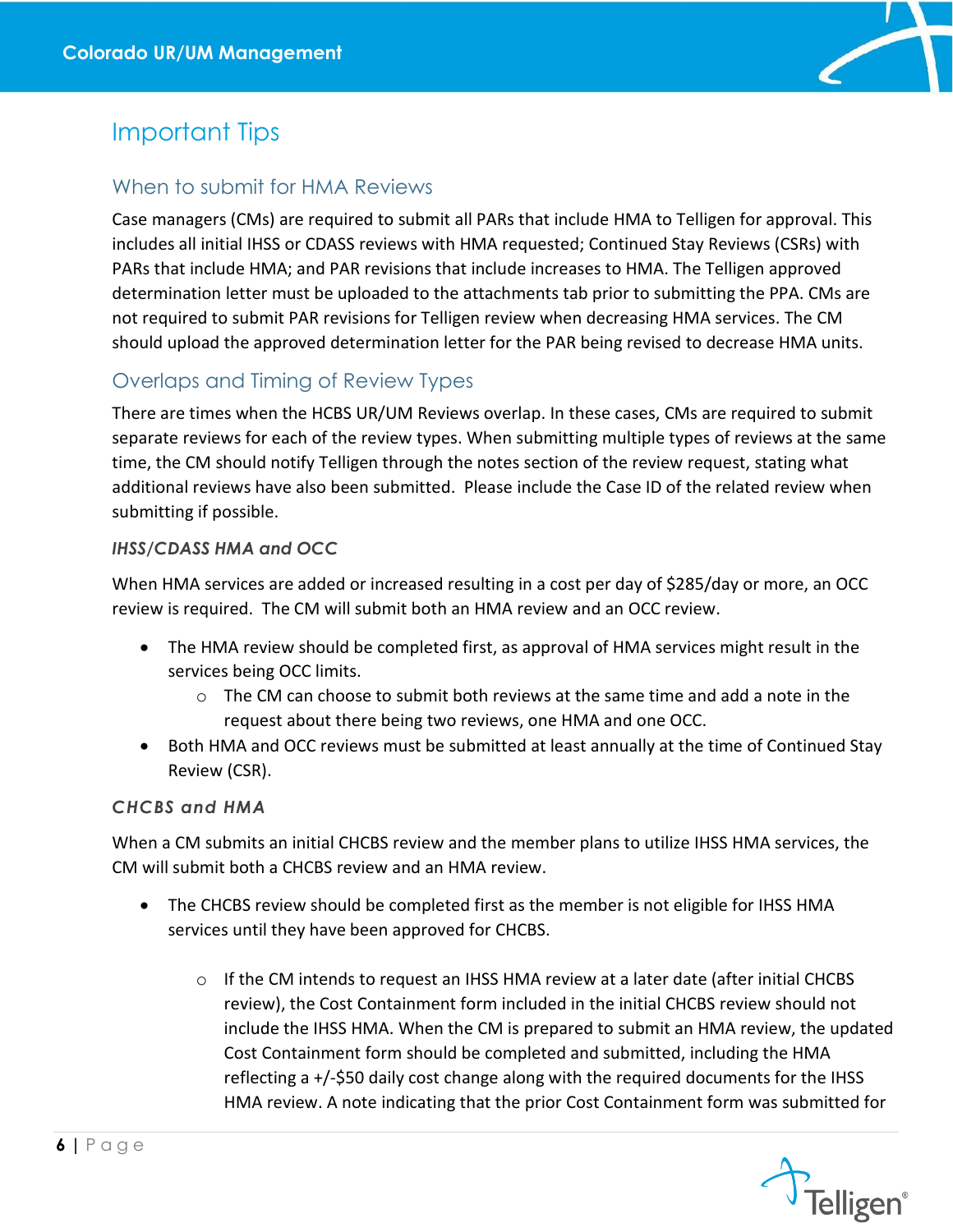

## <span id="page-6-0"></span>Important Tips

### <span id="page-6-1"></span>When to submit for HMA Reviews

Case managers (CMs) are required to submit all PARs that include HMA to Telligen for approval. This includes all initial IHSS or CDASS reviews with HMA requested; Continued Stay Reviews (CSRs) with PARs that include HMA; and PAR revisions that include increases to HMA. The Telligen approved determination letter must be uploaded to the attachments tab prior to submitting the PPA. CMs are not required to submit PAR revisions for Telligen review when decreasing HMA services. The CM should upload the approved determination letter for the PAR being revised to decrease HMA units.

### <span id="page-6-2"></span>Overlaps and Timing of Review Types

There are times when the HCBS UR/UM Reviews overlap. In these cases, CMs are required to submit separate reviews for each of the review types. When submitting multiple types of reviews at the same time, the CM should notify Telligen through the notes section of the review request, stating what additional reviews have also been submitted. Please include the Case ID of the related review when submitting if possible.

#### *IHSS/CDASS HMA and OCC*

When HMA services are added or increased resulting in a cost per day of \$285/day or more, an OCC review is required. The CM will submit both an HMA review and an OCC review.

- The HMA review should be completed first, as approval of HMA services might result in the services being OCC limits.
	- $\circ$  The CM can choose to submit both reviews at the same time and add a note in the request about there being two reviews, one HMA and one OCC.
- Both HMA and OCC reviews must be submitted at least annually at the time of Continued Stay Review (CSR).

#### *CHCBS and HMA*

When a CM submits an initial CHCBS review and the member plans to utilize IHSS HMA services, the CM will submit both a CHCBS review and an HMA review.

- The CHCBS review should be completed first as the member is not eligible for IHSS HMA services until they have been approved for CHCBS.
	- $\circ$  If the CM intends to request an IHSS HMA review at a later date (after initial CHCBS review), the Cost Containment form included in the initial CHCBS review should not include the IHSS HMA. When the CM is prepared to submit an HMA review, the updated Cost Containment form should be completed and submitted, including the HMA reflecting a +/-\$50 daily cost change along with the required documents for the IHSS HMA review. A note indicating that the prior Cost Containment form was submitted for

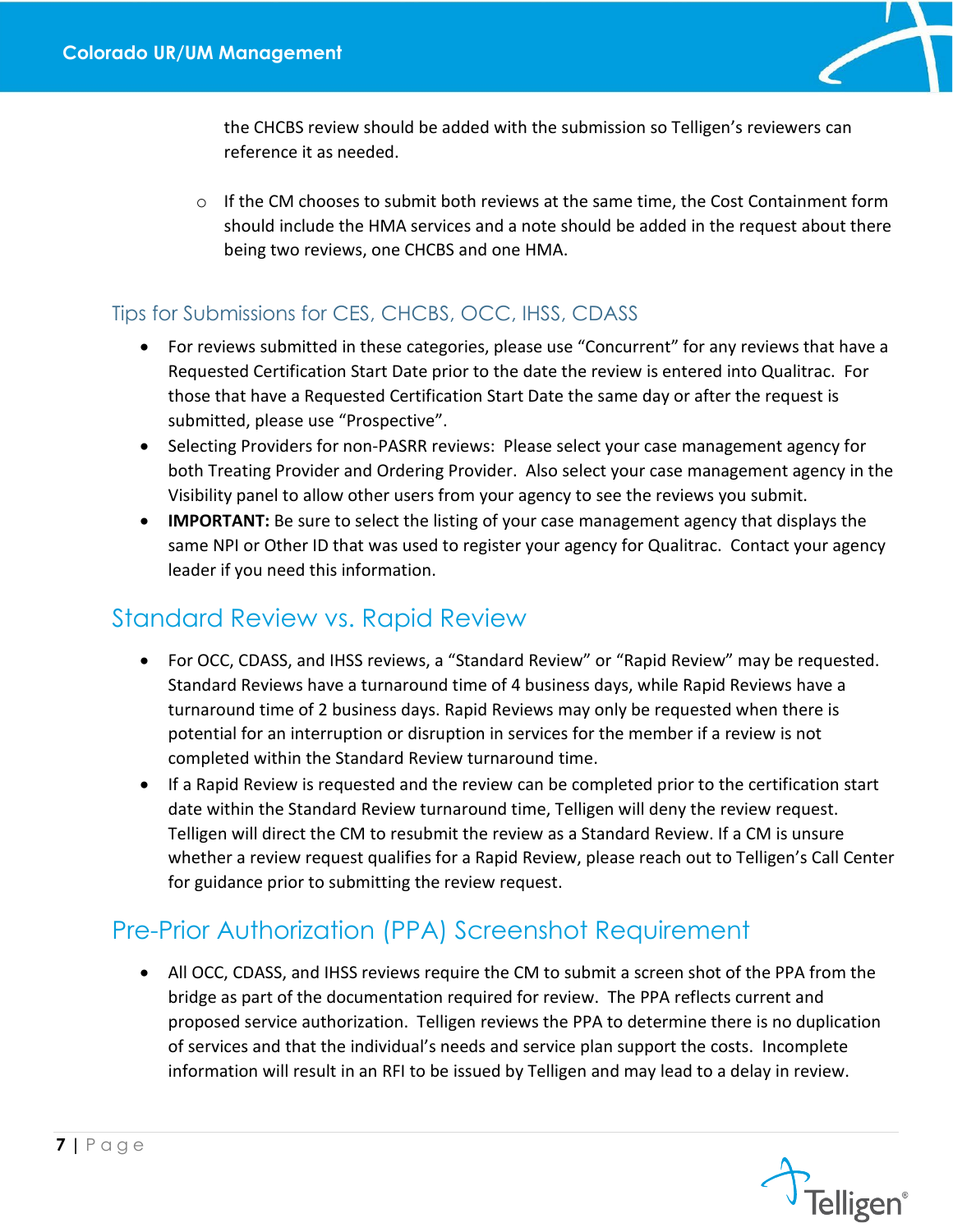

the CHCBS review should be added with the submission so Telligen's reviewers can reference it as needed.

 $\circ$  If the CM chooses to submit both reviews at the same time, the Cost Containment form should include the HMA services and a note should be added in the request about there being two reviews, one CHCBS and one HMA.

### <span id="page-7-0"></span>Tips for Submissions for CES, CHCBS, OCC, IHSS, CDASS

- For reviews submitted in these categories, please use "Concurrent" for any reviews that have a Requested Certification Start Date prior to the date the review is entered into Qualitrac. For those that have a Requested Certification Start Date the same day or after the request is submitted, please use "Prospective".
- Selecting Providers for non-PASRR reviews: Please select your case management agency for both Treating Provider and Ordering Provider. Also select your case management agency in the Visibility panel to allow other users from your agency to see the reviews you submit.
- **IMPORTANT:** Be sure to select the listing of your case management agency that displays the same NPI or Other ID that was used to register your agency for Qualitrac. Contact your agency leader if you need this information.

# <span id="page-7-1"></span>Standard Review vs. Rapid Review

- For OCC, CDASS, and IHSS reviews, a "Standard Review" or "Rapid Review" may be requested. Standard Reviews have a turnaround time of 4 business days, while Rapid Reviews have a turnaround time of 2 business days. Rapid Reviews may only be requested when there is potential for an interruption or disruption in services for the member if a review is not completed within the Standard Review turnaround time.
- If a Rapid Review is requested and the review can be completed prior to the certification start date within the Standard Review turnaround time, Telligen will deny the review request. Telligen will direct the CM to resubmit the review as a Standard Review. If a CM is unsure whether a review request qualifies for a Rapid Review, please reach out to Telligen's Call Center for guidance prior to submitting the review request.

# <span id="page-7-2"></span>Pre-Prior Authorization (PPA) Screenshot Requirement

• All OCC, CDASS, and IHSS reviews require the CM to submit a screen shot of the PPA from the bridge as part of the documentation required for review. The PPA reflects current and proposed service authorization. Telligen reviews the PPA to determine there is no duplication of services and that the individual's needs and service plan support the costs. Incomplete information will result in an RFI to be issued by Telligen and may lead to a delay in review.

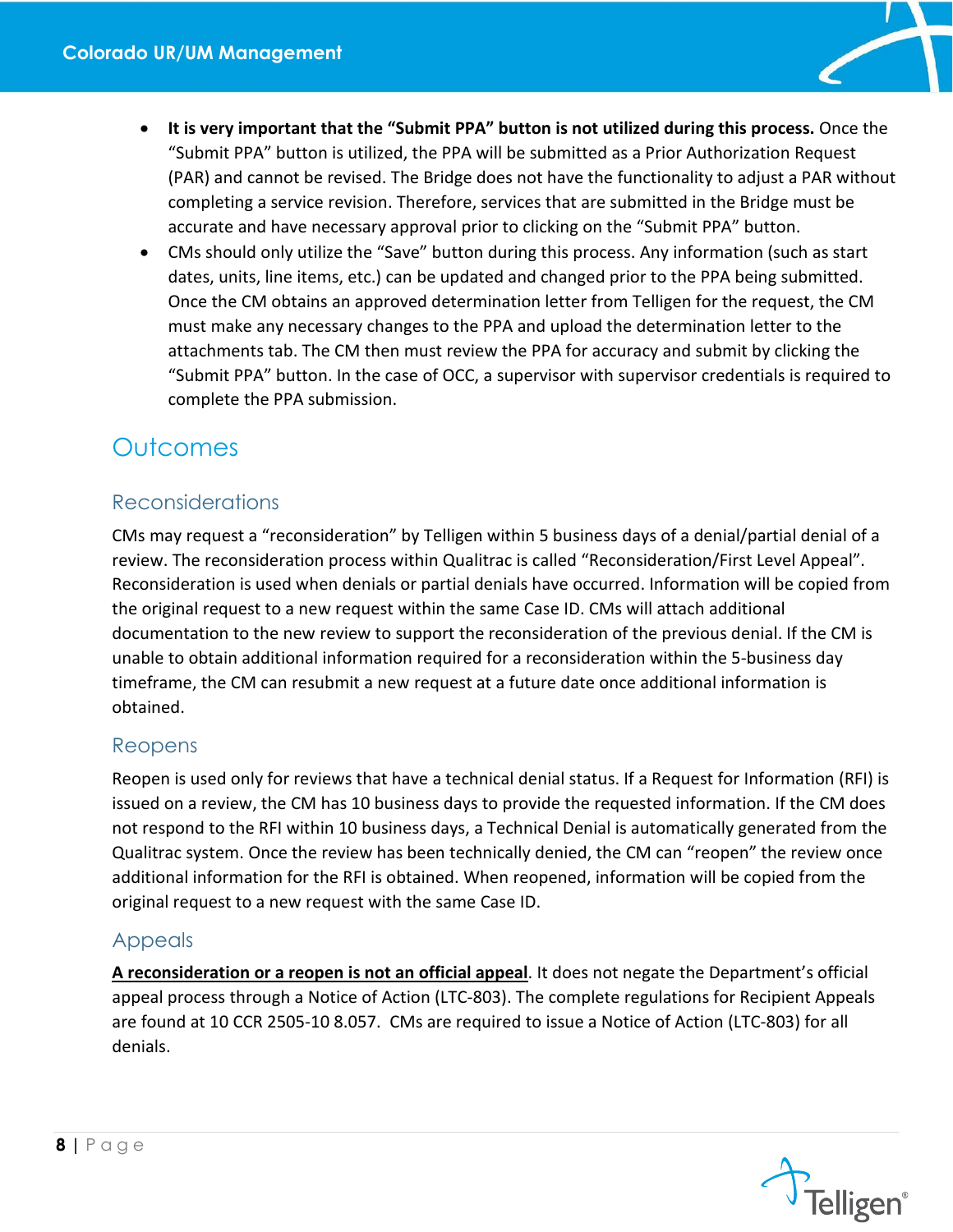

- **It is very important that the "Submit PPA" button is not utilized during this process.** Once the "Submit PPA" button is utilized, the PPA will be submitted as a Prior Authorization Request (PAR) and cannot be revised. The Bridge does not have the functionality to adjust a PAR without completing a service revision. Therefore, services that are submitted in the Bridge must be accurate and have necessary approval prior to clicking on the "Submit PPA" button.
- CMs should only utilize the "Save" button during this process. Any information (such as start dates, units, line items, etc.) can be updated and changed prior to the PPA being submitted. Once the CM obtains an approved determination letter from Telligen for the request, the CM must make any necessary changes to the PPA and upload the determination letter to the attachments tab. The CM then must review the PPA for accuracy and submit by clicking the "Submit PPA" button. In the case of OCC, a supervisor with supervisor credentials is required to complete the PPA submission.

## <span id="page-8-0"></span>**Outcomes**

### <span id="page-8-1"></span>Reconsiderations

CMs may request a "reconsideration" by Telligen within 5 business days of a denial/partial denial of a review. The reconsideration process within Qualitrac is called "Reconsideration/First Level Appeal". Reconsideration is used when denials or partial denials have occurred. Information will be copied from the original request to a new request within the same Case ID. CMs will attach additional documentation to the new review to support the reconsideration of the previous denial. If the CM is unable to obtain additional information required for a reconsideration within the 5-business day timeframe, the CM can resubmit a new request at a future date once additional information is obtained.

### <span id="page-8-2"></span>Reopens

Reopen is used only for reviews that have a technical denial status. If a Request for Information (RFI) is issued on a review, the CM has 10 business days to provide the requested information. If the CM does not respond to the RFI within 10 business days, a Technical Denial is automatically generated from the Qualitrac system. Once the review has been technically denied, the CM can "reopen" the review once additional information for the RFI is obtained. When reopened, information will be copied from the original request to a new request with the same Case ID.

### <span id="page-8-3"></span>Appeals

**A reconsideration or a reopen is not an official appeal**. It does not negate the Department's official appeal process through a Notice of Action (LTC-803). The complete regulations for Recipient Appeals are found at 10 CCR 2505-10 8.057. CMs are required to issue a Notice of Action (LTC-803) for all denials.

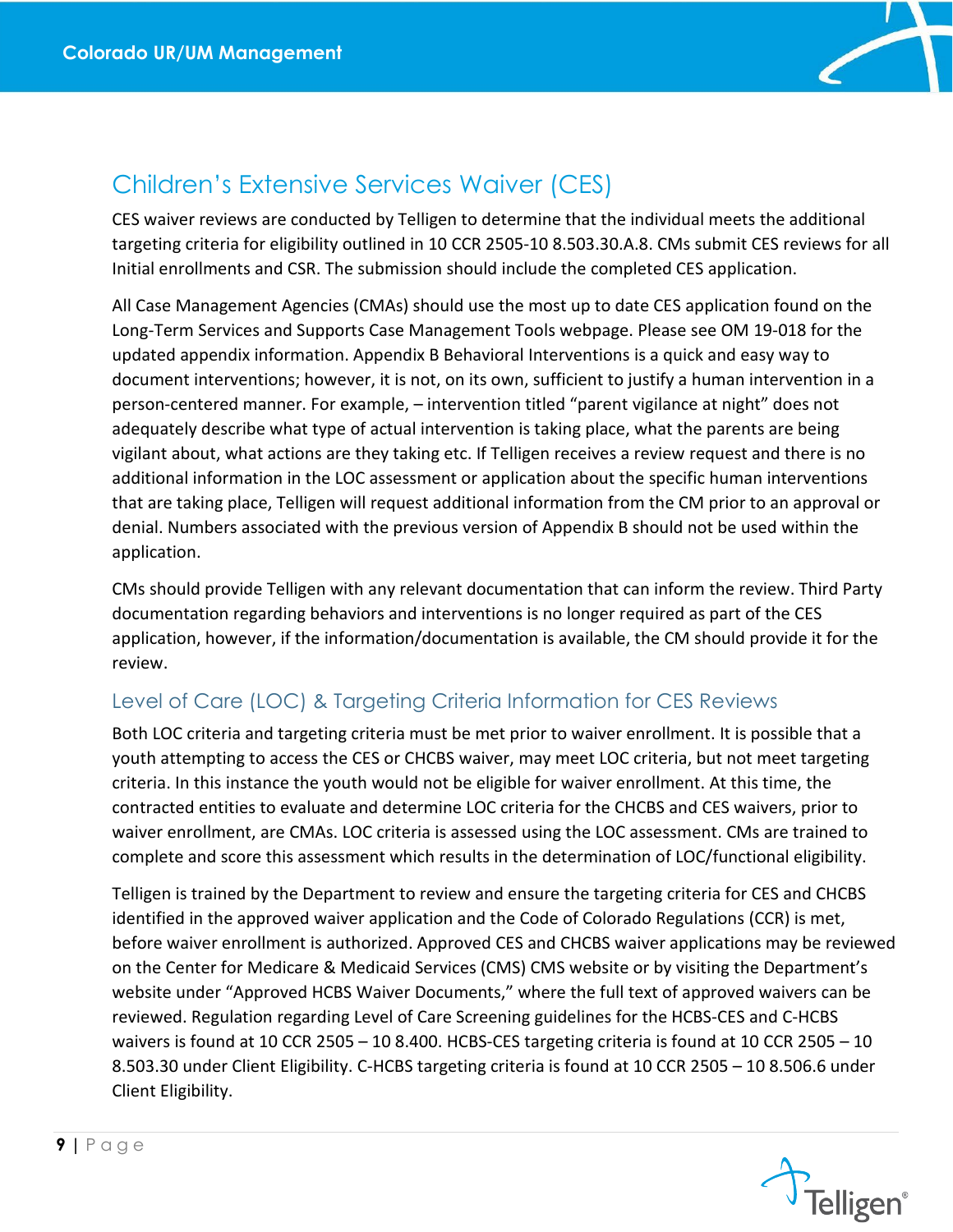

## <span id="page-9-0"></span>Children's Extensive Services Waiver (CES)

CES waiver reviews are conducted by Telligen to determine that the individual meets the additional targeting criteria for eligibility outlined in 10 CCR 2505-10 8.503.30.A.8. CMs submit CES reviews for all Initial enrollments and CSR. The submission should include the completed CES application.

All Case Management Agencies (CMAs) should use the most up to date CES application found on the Long-Term Services and Supports Case Management Tools webpage. Please see OM 19-018 for the updated appendix information. Appendix B Behavioral Interventions is a quick and easy way to document interventions; however, it is not, on its own, sufficient to justify a human intervention in a person-centered manner. For example, – intervention titled "parent vigilance at night" does not adequately describe what type of actual intervention is taking place, what the parents are being vigilant about, what actions are they taking etc. If Telligen receives a review request and there is no additional information in the LOC assessment or application about the specific human interventions that are taking place, Telligen will request additional information from the CM prior to an approval or denial. Numbers associated with the previous version of Appendix B should not be used within the application.

CMs should provide Telligen with any relevant documentation that can inform the review. Third Party documentation regarding behaviors and interventions is no longer required as part of the CES application, however, if the information/documentation is available, the CM should provide it for the review.

### <span id="page-9-1"></span>Level of Care (LOC) & Targeting Criteria Information for CES Reviews

Both LOC criteria and targeting criteria must be met prior to waiver enrollment. It is possible that a youth attempting to access the CES or CHCBS waiver, may meet LOC criteria, but not meet targeting criteria. In this instance the youth would not be eligible for waiver enrollment. At this time, the contracted entities to evaluate and determine LOC criteria for the CHCBS and CES waivers, prior to waiver enrollment, are CMAs. LOC criteria is assessed using the LOC assessment. CMs are trained to complete and score this assessment which results in the determination of LOC/functional eligibility.

Telligen is trained by the Department to review and ensure the targeting criteria for CES and CHCBS identified in the approved waiver application and the Code of Colorado Regulations (CCR) is met, before waiver enrollment is authorized. Approved CES and CHCBS waiver applications may be reviewed on the Center for Medicare & Medicaid Services (CMS) CMS website or by visiting the Department's website under "Approved HCBS Waiver Documents," where the full text of approved waivers can be reviewed. Regulation regarding Level of Care Screening guidelines for the HCBS-CES and C-HCBS waivers is found at 10 CCR 2505 – 10 8.400. HCBS-CES targeting criteria is found at 10 CCR 2505 – 10 8.503.30 under Client Eligibility. C-HCBS targeting criteria is found at 10 CCR 2505 – 10 8.506.6 under Client Eligibility.

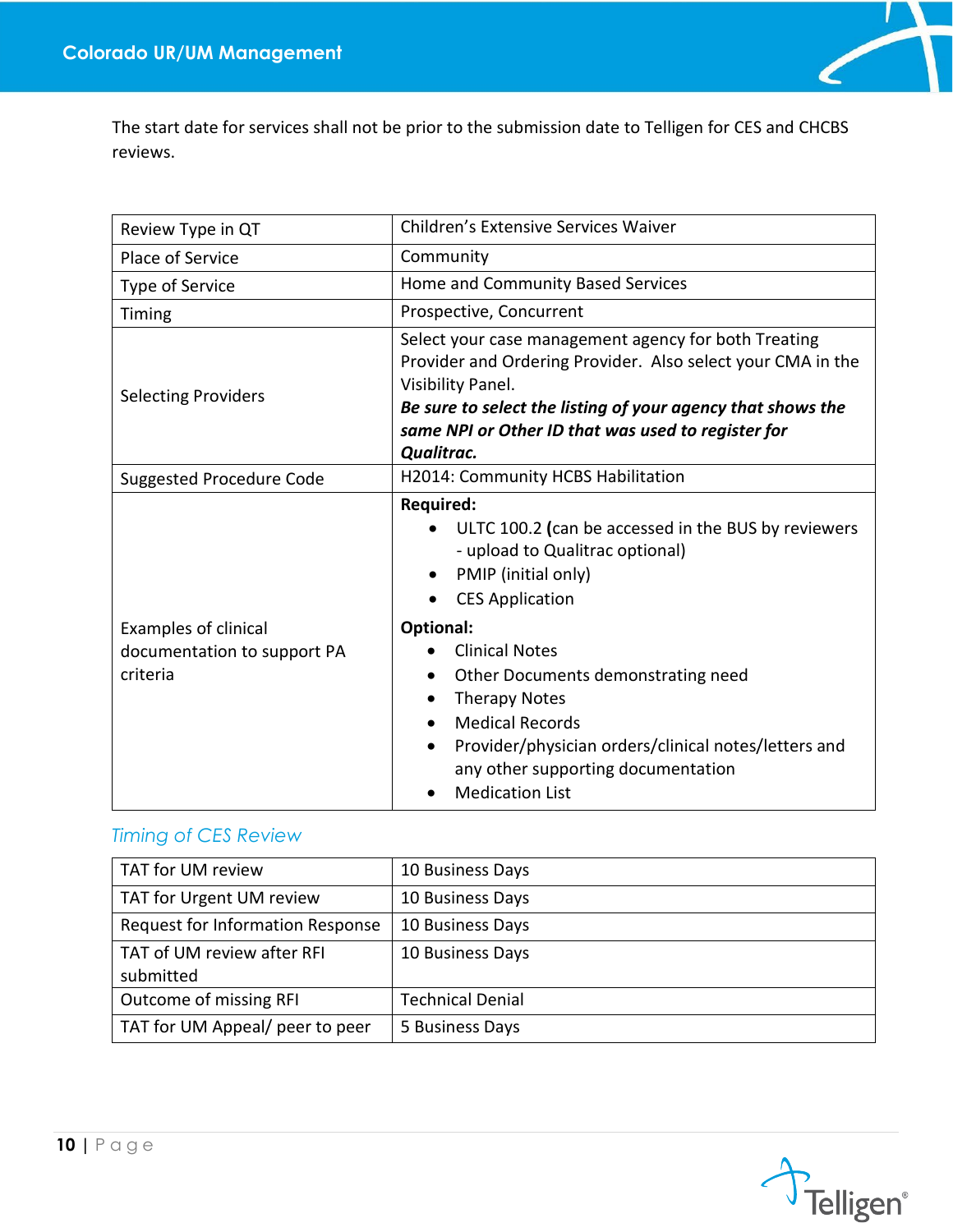

The start date for services shall not be prior to the submission date to Telligen for CES and CHCBS reviews.

| Review Type in QT                                                      | <b>Children's Extensive Services Waiver</b>                                                                                                                                                                                                                                                                                                                                                                                                 |
|------------------------------------------------------------------------|---------------------------------------------------------------------------------------------------------------------------------------------------------------------------------------------------------------------------------------------------------------------------------------------------------------------------------------------------------------------------------------------------------------------------------------------|
| Place of Service                                                       | Community                                                                                                                                                                                                                                                                                                                                                                                                                                   |
| <b>Type of Service</b>                                                 | Home and Community Based Services                                                                                                                                                                                                                                                                                                                                                                                                           |
| Timing                                                                 | Prospective, Concurrent                                                                                                                                                                                                                                                                                                                                                                                                                     |
| <b>Selecting Providers</b>                                             | Select your case management agency for both Treating<br>Provider and Ordering Provider. Also select your CMA in the<br>Visibility Panel.<br>Be sure to select the listing of your agency that shows the<br>same NPI or Other ID that was used to register for<br>Qualitrac.                                                                                                                                                                 |
| <b>Suggested Procedure Code</b>                                        | H2014: Community HCBS Habilitation                                                                                                                                                                                                                                                                                                                                                                                                          |
| <b>Examples of clinical</b><br>documentation to support PA<br>criteria | <b>Required:</b><br>ULTC 100.2 (can be accessed in the BUS by reviewers<br>- upload to Qualitrac optional)<br>PMIP (initial only)<br>$\bullet$<br><b>CES Application</b><br>$\bullet$<br>Optional:<br><b>Clinical Notes</b><br>Other Documents demonstrating need<br><b>Therapy Notes</b><br><b>Medical Records</b><br>Provider/physician orders/clinical notes/letters and<br>any other supporting documentation<br><b>Medication List</b> |

### <span id="page-10-0"></span>*Timing of CES Review*

| TAT for UM review                       | 10 Business Days        |
|-----------------------------------------|-------------------------|
| TAT for Urgent UM review                | 10 Business Days        |
| Request for Information Response        | 10 Business Days        |
| TAT of UM review after RFI<br>submitted | 10 Business Days        |
| Outcome of missing RFI                  | <b>Technical Denial</b> |
| TAT for UM Appeal/ peer to peer         | 5 Business Days         |

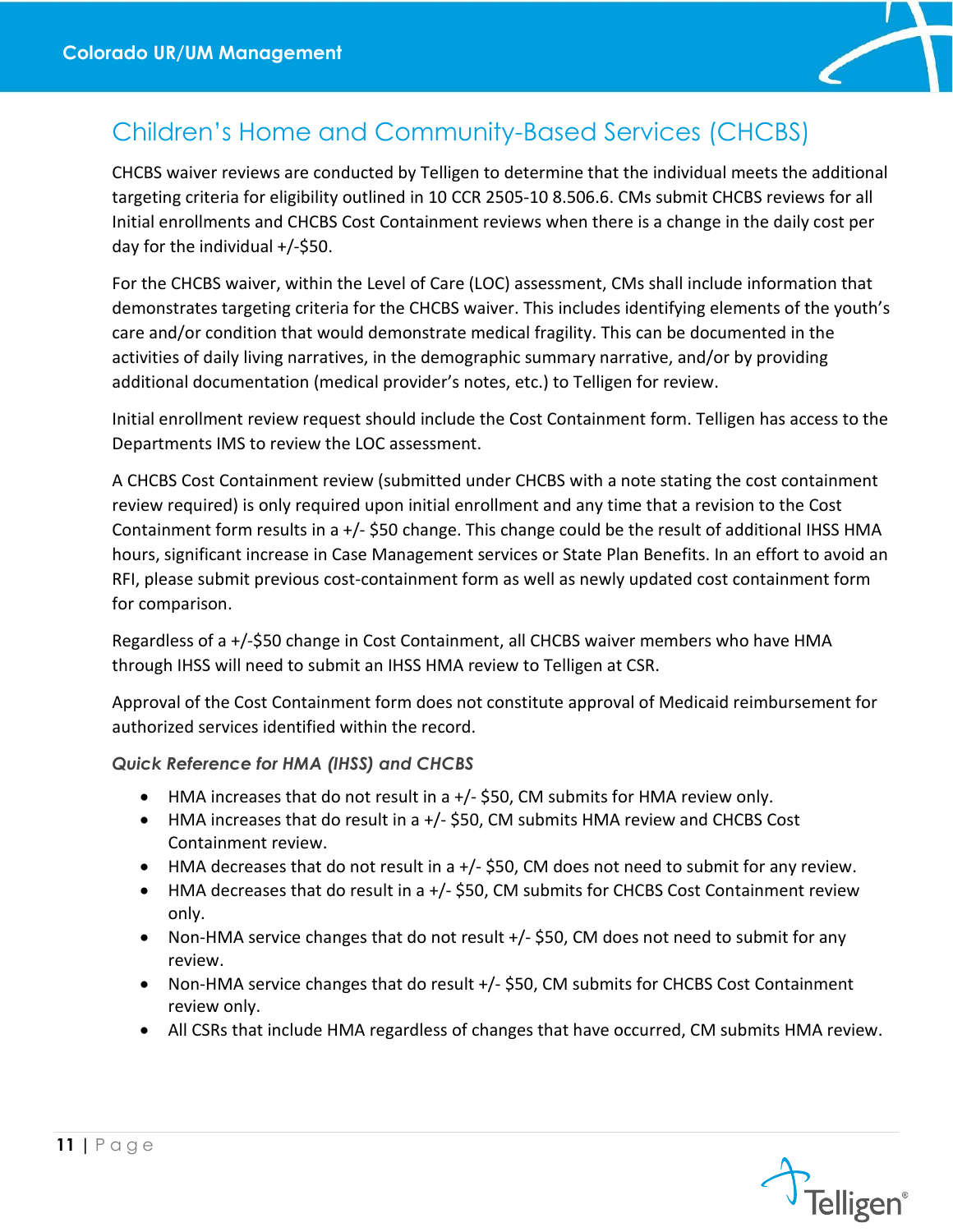

# <span id="page-11-0"></span>Children's Home and Community-Based Services (CHCBS)

CHCBS waiver reviews are conducted by Telligen to determine that the individual meets the additional targeting criteria for eligibility outlined in 10 CCR 2505-10 8.506.6. CMs submit CHCBS reviews for all Initial enrollments and CHCBS Cost Containment reviews when there is a change in the daily cost per day for the individual +/-\$50.

For the CHCBS waiver, within the Level of Care (LOC) assessment, CMs shall include information that demonstrates targeting criteria for the CHCBS waiver. This includes identifying elements of the youth's care and/or condition that would demonstrate medical fragility. This can be documented in the activities of daily living narratives, in the demographic summary narrative, and/or by providing additional documentation (medical provider's notes, etc.) to Telligen for review.

Initial enrollment review request should include the Cost Containment form. Telligen has access to the Departments IMS to review the LOC assessment.

A CHCBS Cost Containment review (submitted under CHCBS with a note stating the cost containment review required) is only required upon initial enrollment and any time that a revision to the Cost Containment form results in a +/- \$50 change. This change could be the result of additional IHSS HMA hours, significant increase in Case Management services or State Plan Benefits. In an effort to avoid an RFI, please submit previous cost-containment form as well as newly updated cost containment form for comparison.

Regardless of a +/-\$50 change in Cost Containment, all CHCBS waiver members who have HMA through IHSS will need to submit an IHSS HMA review to Telligen at CSR.

Approval of the Cost Containment form does not constitute approval of Medicaid reimbursement for authorized services identified within the record.

### *Quick Reference for HMA (IHSS) and CHCBS*

- HMA increases that do not result in a +/- \$50, CM submits for HMA review only.
- HMA increases that do result in a +/- \$50, CM submits HMA review and CHCBS Cost Containment review.
- HMA decreases that do not result in a +/- \$50, CM does not need to submit for any review.
- HMA decreases that do result in a +/- \$50, CM submits for CHCBS Cost Containment review only.
- Non-HMA service changes that do not result +/- \$50, CM does not need to submit for any review.
- Non-HMA service changes that do result +/- \$50, CM submits for CHCBS Cost Containment review only.
- All CSRs that include HMA regardless of changes that have occurred, CM submits HMA review.

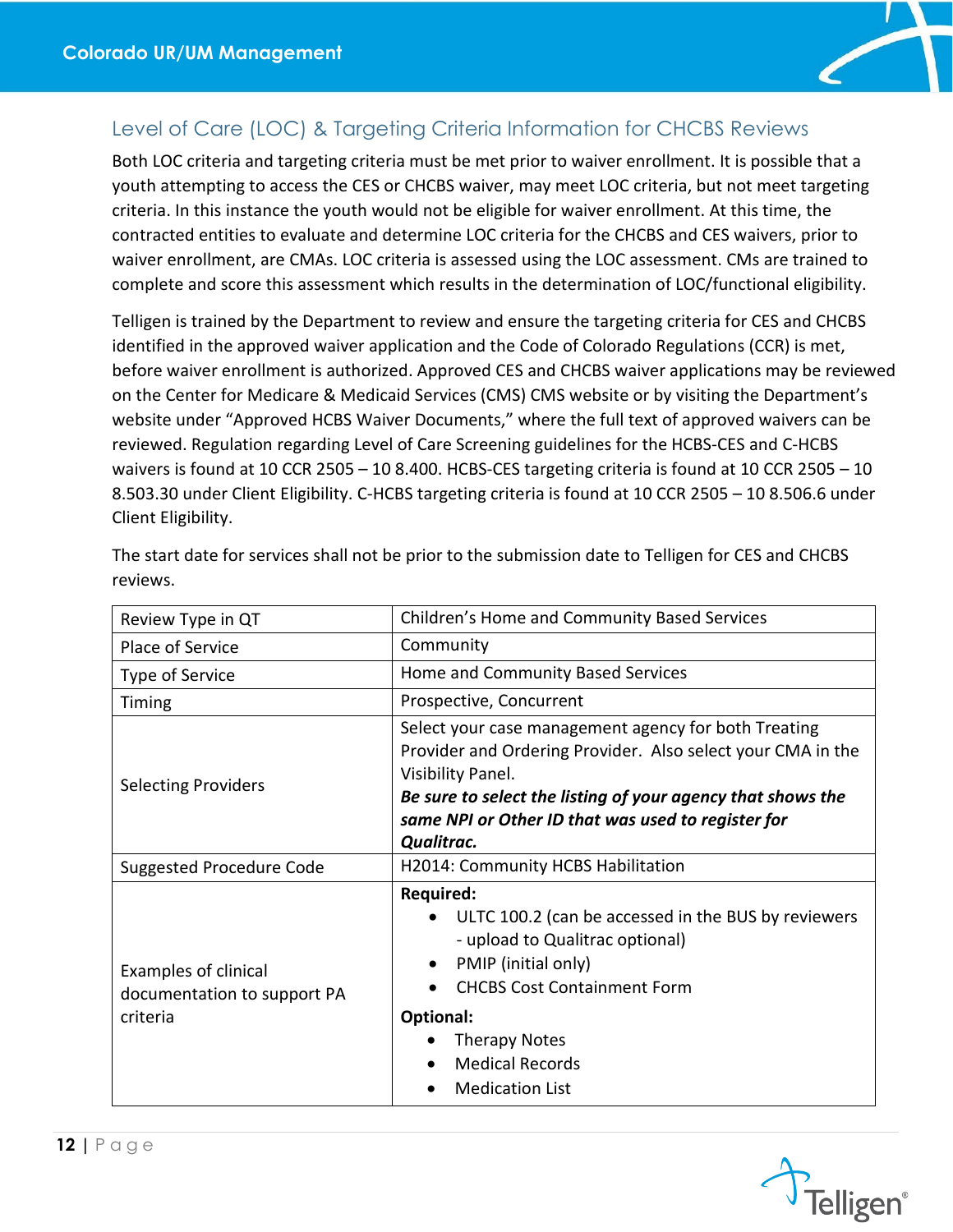

### <span id="page-12-0"></span>Level of Care (LOC) & Targeting Criteria Information for CHCBS Reviews

Both LOC criteria and targeting criteria must be met prior to waiver enrollment. It is possible that a youth attempting to access the CES or CHCBS waiver, may meet LOC criteria, but not meet targeting criteria. In this instance the youth would not be eligible for waiver enrollment. At this time, the contracted entities to evaluate and determine LOC criteria for the CHCBS and CES waivers, prior to waiver enrollment, are CMAs. LOC criteria is assessed using the LOC assessment. CMs are trained to complete and score this assessment which results in the determination of LOC/functional eligibility.

Telligen is trained by the Department to review and ensure the targeting criteria for CES and CHCBS identified in the approved waiver application and the Code of Colorado Regulations (CCR) is met, before waiver enrollment is authorized. Approved CES and CHCBS waiver applications may be reviewed on the Center for Medicare & Medicaid Services (CMS) CMS website or by visiting the Department's website under "Approved HCBS Waiver Documents," where the full text of approved waivers can be reviewed. Regulation regarding Level of Care Screening guidelines for the HCBS-CES and C-HCBS waivers is found at 10 CCR 2505 – 10 8.400. HCBS-CES targeting criteria is found at 10 CCR 2505 – 10 8.503.30 under Client Eligibility. C-HCBS targeting criteria is found at 10 CCR 2505 – 10 8.506.6 under Client Eligibility.

| Review Type in QT                                                      | Children's Home and Community Based Services                                                                                                                                                                                                                                |
|------------------------------------------------------------------------|-----------------------------------------------------------------------------------------------------------------------------------------------------------------------------------------------------------------------------------------------------------------------------|
| Place of Service                                                       | Community                                                                                                                                                                                                                                                                   |
| Type of Service                                                        | Home and Community Based Services                                                                                                                                                                                                                                           |
| Timing                                                                 | Prospective, Concurrent                                                                                                                                                                                                                                                     |
| <b>Selecting Providers</b>                                             | Select your case management agency for both Treating<br>Provider and Ordering Provider. Also select your CMA in the<br>Visibility Panel.<br>Be sure to select the listing of your agency that shows the<br>same NPI or Other ID that was used to register for<br>Qualitrac. |
| Suggested Procedure Code                                               | H2014: Community HCBS Habilitation                                                                                                                                                                                                                                          |
| <b>Examples of clinical</b><br>documentation to support PA<br>criteria | <b>Required:</b><br>ULTC 100.2 (can be accessed in the BUS by reviewers<br>- upload to Qualitrac optional)<br>PMIP (initial only)<br><b>CHCBS Cost Containment Form</b><br>Optional:<br><b>Therapy Notes</b><br><b>Medical Records</b><br><b>Medication List</b>            |

The start date for services shall not be prior to the submission date to Telligen for CES and CHCBS reviews.

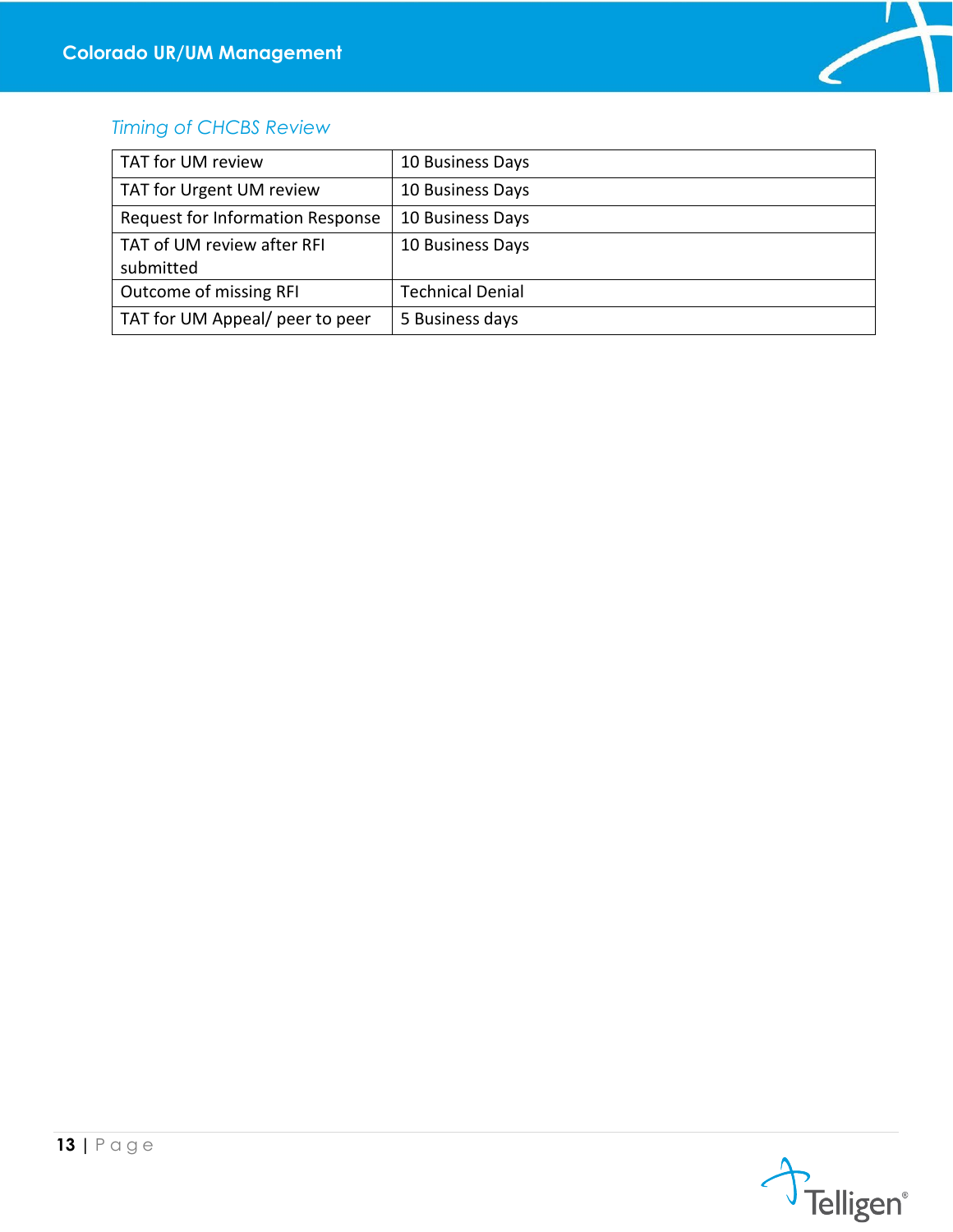

### <span id="page-13-0"></span>*Timing of CHCBS Review*

| TAT for UM review                       | 10 Business Days        |
|-----------------------------------------|-------------------------|
| TAT for Urgent UM review                | 10 Business Days        |
| Request for Information Response        | 10 Business Days        |
| TAT of UM review after RFI<br>submitted | 10 Business Days        |
| Outcome of missing RFI                  | <b>Technical Denial</b> |
| TAT for UM Appeal/ peer to peer         | 5 Business days         |

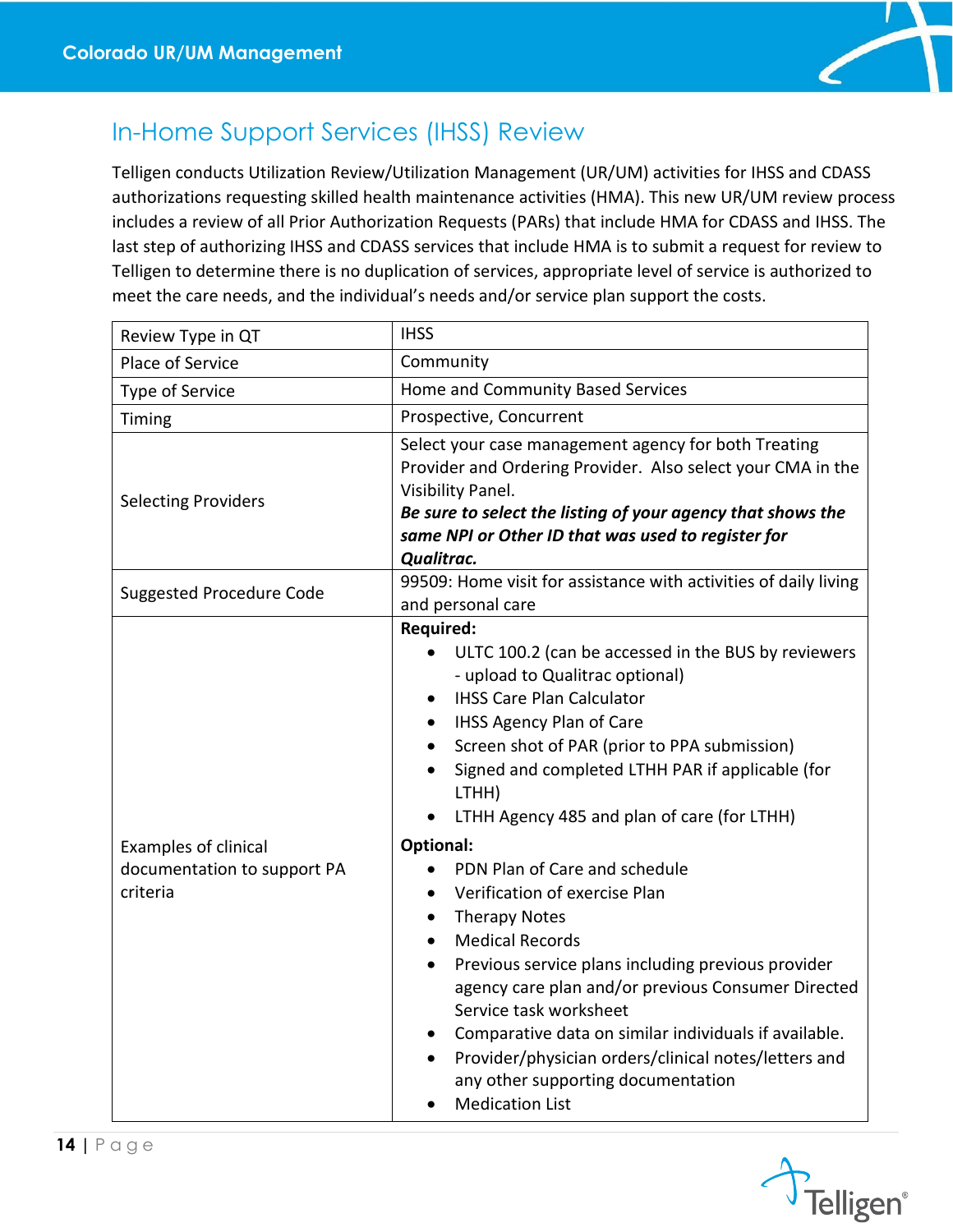

## <span id="page-14-0"></span>In-Home Support Services (IHSS) Review

Telligen conducts Utilization Review/Utilization Management (UR/UM) activities for IHSS and CDASS authorizations requesting skilled health maintenance activities (HMA). This new UR/UM review process includes a review of all Prior Authorization Requests (PARs) that include HMA for CDASS and IHSS. The last step of authorizing IHSS and CDASS services that include HMA is to submit a request for review to Telligen to determine there is no duplication of services, appropriate level of service is authorized to meet the care needs, and the individual's needs and/or service plan support the costs.

| Review Type in QT                                                      | <b>IHSS</b>                                                                                                                                                                                                                                                                                                                                                                                                                                                                                                                                                                                                                                                                                                                                                                                                                                                                                                          |
|------------------------------------------------------------------------|----------------------------------------------------------------------------------------------------------------------------------------------------------------------------------------------------------------------------------------------------------------------------------------------------------------------------------------------------------------------------------------------------------------------------------------------------------------------------------------------------------------------------------------------------------------------------------------------------------------------------------------------------------------------------------------------------------------------------------------------------------------------------------------------------------------------------------------------------------------------------------------------------------------------|
| Place of Service                                                       | Community                                                                                                                                                                                                                                                                                                                                                                                                                                                                                                                                                                                                                                                                                                                                                                                                                                                                                                            |
| <b>Type of Service</b>                                                 | Home and Community Based Services                                                                                                                                                                                                                                                                                                                                                                                                                                                                                                                                                                                                                                                                                                                                                                                                                                                                                    |
| Timing                                                                 | Prospective, Concurrent                                                                                                                                                                                                                                                                                                                                                                                                                                                                                                                                                                                                                                                                                                                                                                                                                                                                                              |
| <b>Selecting Providers</b>                                             | Select your case management agency for both Treating<br>Provider and Ordering Provider. Also select your CMA in the<br>Visibility Panel.<br>Be sure to select the listing of your agency that shows the<br>same NPI or Other ID that was used to register for<br>Qualitrac.                                                                                                                                                                                                                                                                                                                                                                                                                                                                                                                                                                                                                                          |
| <b>Suggested Procedure Code</b>                                        | 99509: Home visit for assistance with activities of daily living<br>and personal care                                                                                                                                                                                                                                                                                                                                                                                                                                                                                                                                                                                                                                                                                                                                                                                                                                |
| <b>Examples of clinical</b><br>documentation to support PA<br>criteria | <b>Required:</b><br>ULTC 100.2 (can be accessed in the BUS by reviewers<br>$\bullet$<br>- upload to Qualitrac optional)<br><b>IHSS Care Plan Calculator</b><br>$\bullet$<br><b>IHSS Agency Plan of Care</b><br>$\bullet$<br>Screen shot of PAR (prior to PPA submission)<br>$\bullet$<br>Signed and completed LTHH PAR if applicable (for<br>LTHH)<br>LTHH Agency 485 and plan of care (for LTHH)<br><b>Optional:</b><br>PDN Plan of Care and schedule<br>Verification of exercise Plan<br>$\bullet$<br><b>Therapy Notes</b><br>$\bullet$<br><b>Medical Records</b><br>$\bullet$<br>Previous service plans including previous provider<br>agency care plan and/or previous Consumer Directed<br>Service task worksheet<br>Comparative data on similar individuals if available.<br>$\bullet$<br>Provider/physician orders/clinical notes/letters and<br>any other supporting documentation<br><b>Medication List</b> |

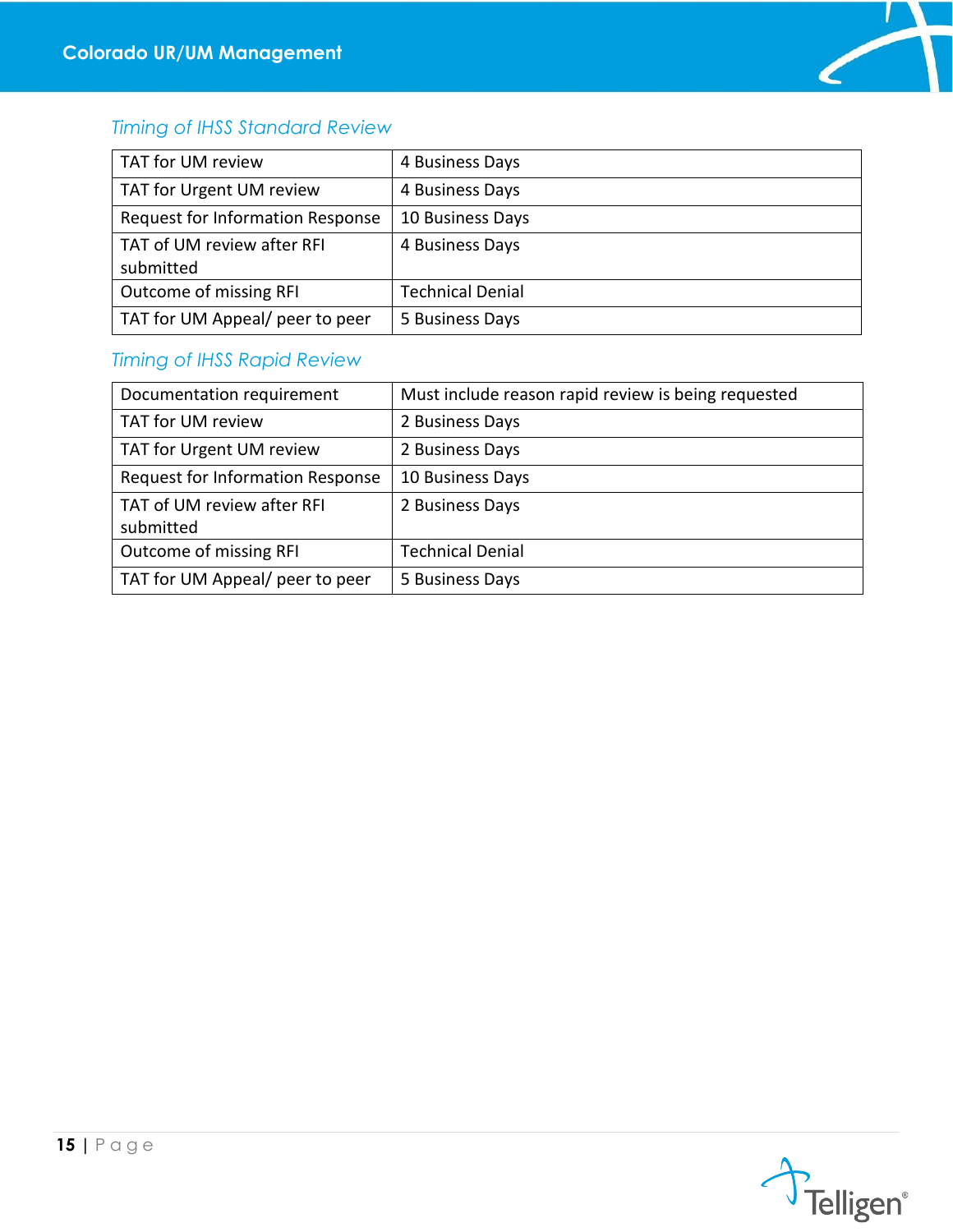

### <span id="page-15-0"></span>*Timing of IHSS Standard Review*

| TAT for UM review                       | 4 Business Days         |
|-----------------------------------------|-------------------------|
| TAT for Urgent UM review                | 4 Business Days         |
| Request for Information Response        | 10 Business Days        |
| TAT of UM review after RFI<br>submitted | 4 Business Days         |
| Outcome of missing RFI                  | <b>Technical Denial</b> |
| TAT for UM Appeal/ peer to peer         | 5 Business Days         |

### <span id="page-15-1"></span>*Timing of IHSS Rapid Review*

| Documentation requirement               | Must include reason rapid review is being requested |
|-----------------------------------------|-----------------------------------------------------|
| TAT for UM review                       | 2 Business Days                                     |
| TAT for Urgent UM review                | 2 Business Days                                     |
| Request for Information Response        | 10 Business Days                                    |
| TAT of UM review after RFI<br>submitted | 2 Business Days                                     |
| Outcome of missing RFI                  | <b>Technical Denial</b>                             |
| TAT for UM Appeal/ peer to peer         | 5 Business Days                                     |

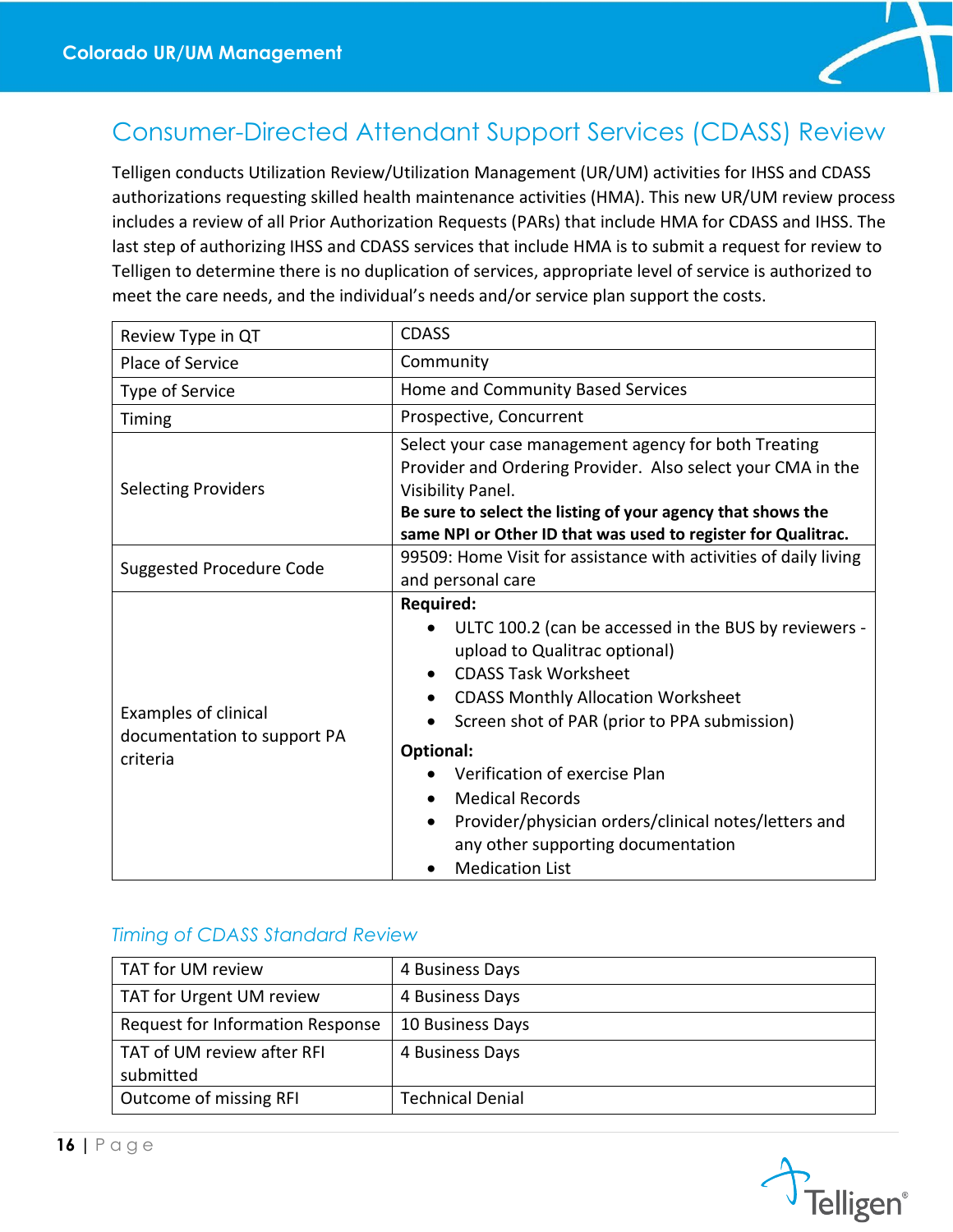

## <span id="page-16-0"></span>Consumer-Directed Attendant Support Services (CDASS) Review

Telligen conducts Utilization Review/Utilization Management (UR/UM) activities for IHSS and CDASS authorizations requesting skilled health maintenance activities (HMA). This new UR/UM review process includes a review of all Prior Authorization Requests (PARs) that include HMA for CDASS and IHSS. The last step of authorizing IHSS and CDASS services that include HMA is to submit a request for review to Telligen to determine there is no duplication of services, appropriate level of service is authorized to meet the care needs, and the individual's needs and/or service plan support the costs.

| Review Type in QT                                                      | <b>CDASS</b>                                                                                                                                                                                                                                                                                                                                                                                                                                                     |
|------------------------------------------------------------------------|------------------------------------------------------------------------------------------------------------------------------------------------------------------------------------------------------------------------------------------------------------------------------------------------------------------------------------------------------------------------------------------------------------------------------------------------------------------|
| Place of Service                                                       | Community                                                                                                                                                                                                                                                                                                                                                                                                                                                        |
| Type of Service                                                        | Home and Community Based Services                                                                                                                                                                                                                                                                                                                                                                                                                                |
| Timing                                                                 | Prospective, Concurrent                                                                                                                                                                                                                                                                                                                                                                                                                                          |
| <b>Selecting Providers</b>                                             | Select your case management agency for both Treating<br>Provider and Ordering Provider. Also select your CMA in the<br>Visibility Panel.<br>Be sure to select the listing of your agency that shows the<br>same NPI or Other ID that was used to register for Qualitrac.                                                                                                                                                                                         |
| <b>Suggested Procedure Code</b>                                        | 99509: Home Visit for assistance with activities of daily living<br>and personal care                                                                                                                                                                                                                                                                                                                                                                            |
| <b>Examples of clinical</b><br>documentation to support PA<br>criteria | <b>Required:</b><br>ULTC 100.2 (can be accessed in the BUS by reviewers -<br>upload to Qualitrac optional)<br><b>CDASS Task Worksheet</b><br><b>CDASS Monthly Allocation Worksheet</b><br>$\bullet$<br>Screen shot of PAR (prior to PPA submission)<br>Optional:<br>Verification of exercise Plan<br><b>Medical Records</b><br>$\bullet$<br>Provider/physician orders/clinical notes/letters and<br>any other supporting documentation<br><b>Medication List</b> |

#### <span id="page-16-1"></span>*Timing of CDASS Standard Review*

| TAT for UM review                       | 4 Business Days         |
|-----------------------------------------|-------------------------|
| TAT for Urgent UM review                | 4 Business Days         |
| Request for Information Response        | 10 Business Days        |
| TAT of UM review after RFI<br>submitted | 4 Business Days         |
| Outcome of missing RFI                  | <b>Technical Denial</b> |

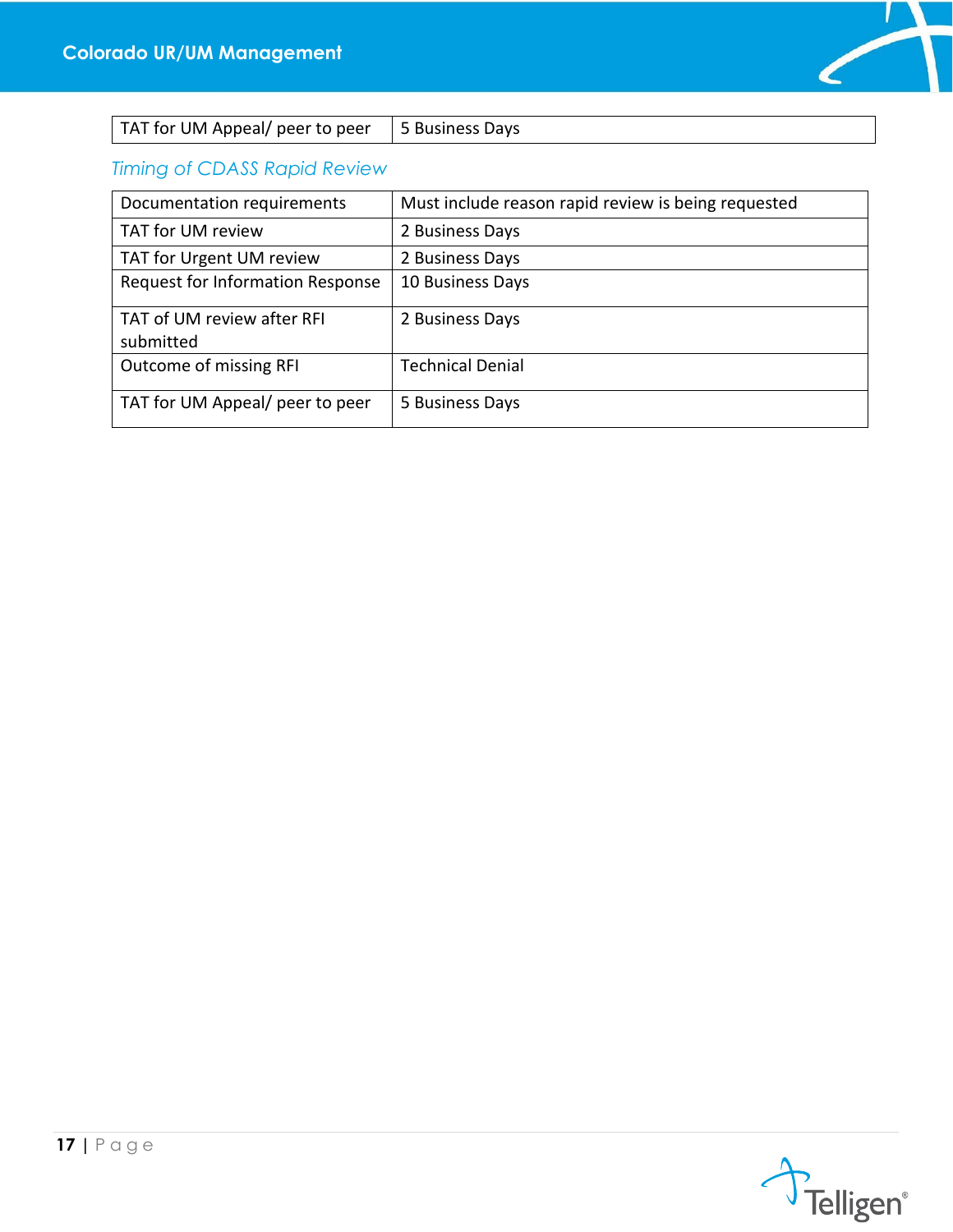

| TAT for UM Appeal/ peer to peer   5 Business Days |  |
|---------------------------------------------------|--|
|---------------------------------------------------|--|

<span id="page-17-0"></span>*Timing of CDASS Rapid Review*

| Documentation requirements              | Must include reason rapid review is being requested |
|-----------------------------------------|-----------------------------------------------------|
| TAT for UM review                       | 2 Business Days                                     |
| TAT for Urgent UM review                | 2 Business Days                                     |
| <b>Request for Information Response</b> | 10 Business Days                                    |
| TAT of UM review after RFI<br>submitted | 2 Business Days                                     |
| Outcome of missing RFI                  | <b>Technical Denial</b>                             |
| TAT for UM Appeal/ peer to peer         | 5 Business Days                                     |

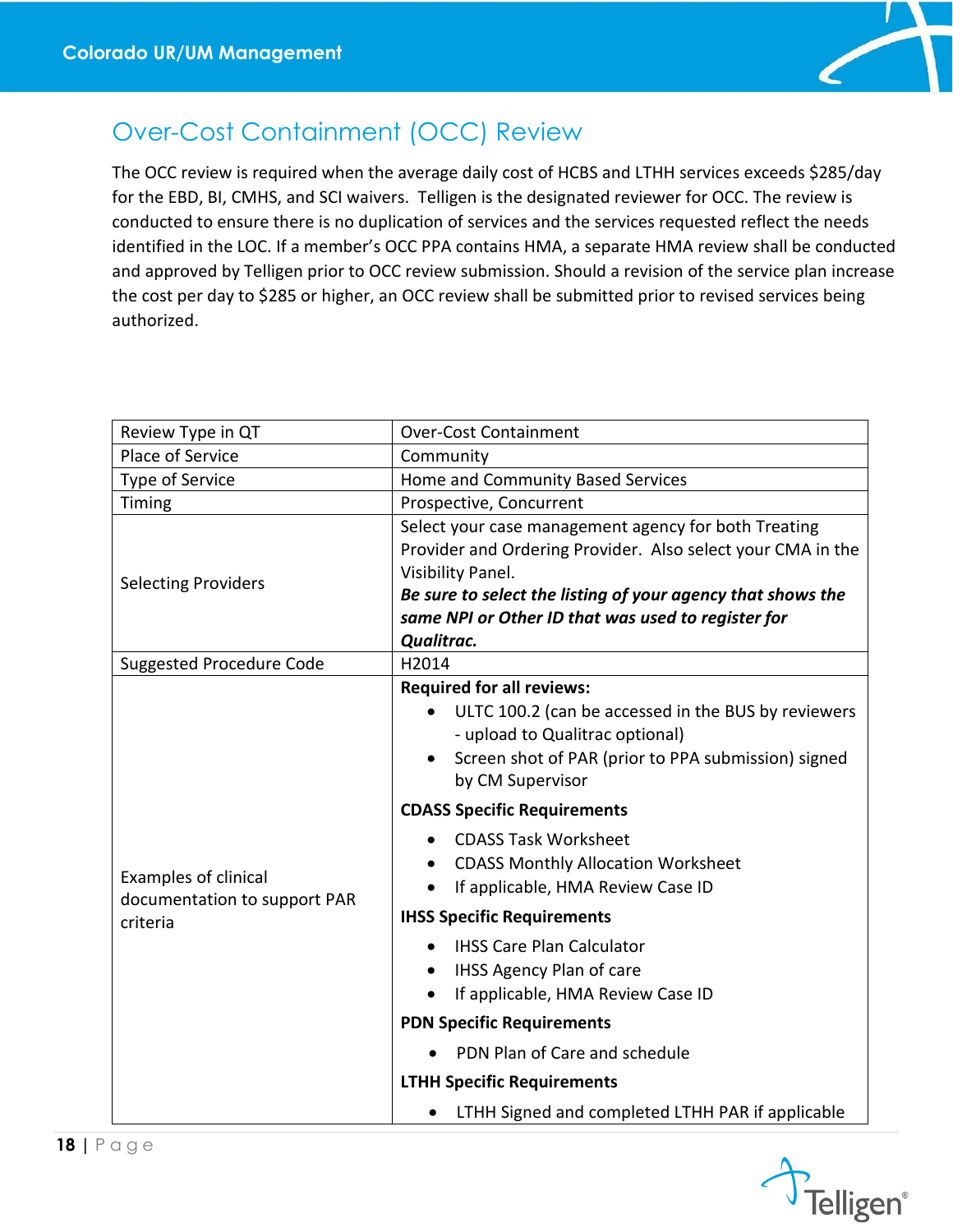

# <span id="page-18-0"></span>Over-Cost Containment (OCC) Review

The OCC review is required when the average daily cost of HCBS and LTHH services exceeds \$285/day for the EBD, BI, CMHS, and SCI waivers. Telligen is the designated reviewer for OCC. The review is conducted to ensure there is no duplication of services and the services requested reflect the needs identified in the LOC. If a member's OCC PPA contains HMA, a separate HMA review shall be conducted and approved by Telligen prior to OCC review submission. Should a revision of the service plan increase the cost per day to \$285 or higher, an OCC review shall be submitted prior to revised services being authorized.

| Review Type in QT                                                       | <b>Over-Cost Containment</b>                                                                                                                                                                                                                                                                                                                                                                                                                                                                                                                      |  |  |  |
|-------------------------------------------------------------------------|---------------------------------------------------------------------------------------------------------------------------------------------------------------------------------------------------------------------------------------------------------------------------------------------------------------------------------------------------------------------------------------------------------------------------------------------------------------------------------------------------------------------------------------------------|--|--|--|
| Place of Service                                                        | Community                                                                                                                                                                                                                                                                                                                                                                                                                                                                                                                                         |  |  |  |
| Type of Service                                                         | Home and Community Based Services                                                                                                                                                                                                                                                                                                                                                                                                                                                                                                                 |  |  |  |
| Timing                                                                  | Prospective, Concurrent                                                                                                                                                                                                                                                                                                                                                                                                                                                                                                                           |  |  |  |
| <b>Selecting Providers</b>                                              | Select your case management agency for both Treating<br>Provider and Ordering Provider. Also select your CMA in the<br>Visibility Panel.<br>Be sure to select the listing of your agency that shows the<br>same NPI or Other ID that was used to register for<br>Qualitrac.                                                                                                                                                                                                                                                                       |  |  |  |
| <b>Suggested Procedure Code</b>                                         | H2014                                                                                                                                                                                                                                                                                                                                                                                                                                                                                                                                             |  |  |  |
| <b>Examples of clinical</b><br>documentation to support PAR<br>criteria | <b>Required for all reviews:</b><br>ULTC 100.2 (can be accessed in the BUS by reviewers<br>- upload to Qualitrac optional)<br>Screen shot of PAR (prior to PPA submission) signed<br>by CM Supervisor<br><b>CDASS Specific Requirements</b><br><b>CDASS Task Worksheet</b><br><b>CDASS Monthly Allocation Worksheet</b><br>If applicable, HMA Review Case ID<br><b>IHSS Specific Requirements</b><br><b>IHSS Care Plan Calculator</b><br><b>IHSS Agency Plan of care</b><br>If applicable, HMA Review Case ID<br><b>PDN Specific Requirements</b> |  |  |  |
|                                                                         | PDN Plan of Care and schedule                                                                                                                                                                                                                                                                                                                                                                                                                                                                                                                     |  |  |  |
|                                                                         | <b>LTHH Specific Requirements</b>                                                                                                                                                                                                                                                                                                                                                                                                                                                                                                                 |  |  |  |
|                                                                         | LTHH Signed and completed LTHH PAR if applicable<br>$\bullet$                                                                                                                                                                                                                                                                                                                                                                                                                                                                                     |  |  |  |

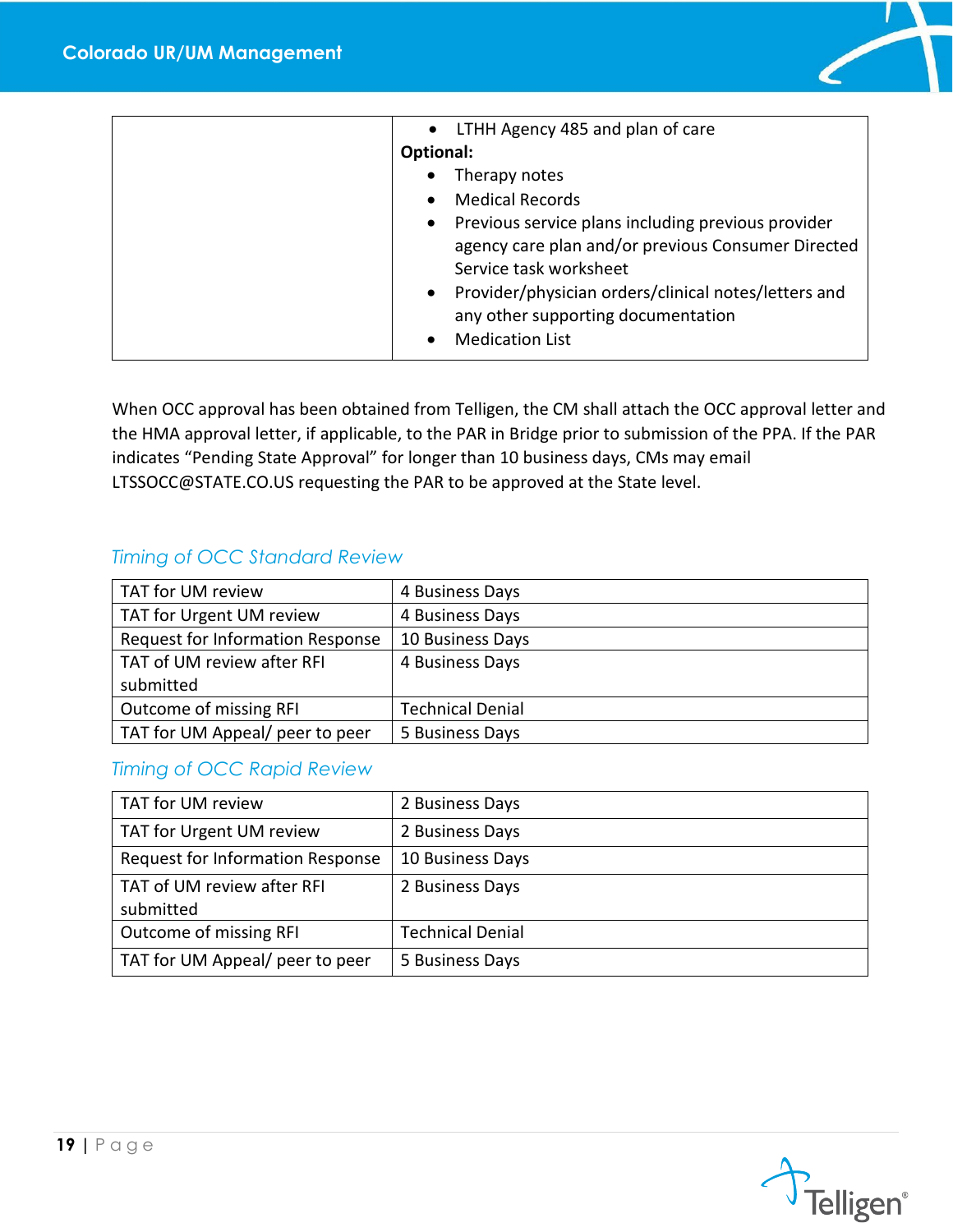

| • LTHH Agency 485 and plan of care<br>Optional:<br>Therapy notes<br>$\bullet$<br><b>Medical Records</b><br>$\bullet$<br>• Previous service plans including previous provider<br>agency care plan and/or previous Consumer Directed<br>Service task worksheet |
|--------------------------------------------------------------------------------------------------------------------------------------------------------------------------------------------------------------------------------------------------------------|
| • Provider/physician orders/clinical notes/letters and<br>any other supporting documentation<br><b>Medication List</b>                                                                                                                                       |

When OCC approval has been obtained from Telligen, the CM shall attach the OCC approval letter and the HMA approval letter, if applicable, to the PAR in Bridge prior to submission of the PPA. If the PAR indicates "Pending State Approval" for longer than 10 business days, CMs may email LTSSOCC@STATE.CO.US requesting the PAR to be approved at the State level.

#### <span id="page-19-0"></span>*Timing of OCC Standard Review*

| TAT for UM review                | 4 Business Days         |
|----------------------------------|-------------------------|
| TAT for Urgent UM review         | 4 Business Days         |
| Request for Information Response | 10 Business Days        |
| TAT of UM review after RFI       | 4 Business Days         |
| submitted                        |                         |
| Outcome of missing RFI           | <b>Technical Denial</b> |
| TAT for UM Appeal/ peer to peer  | 5 Business Days         |

#### <span id="page-19-1"></span>*Timing of OCC Rapid Review*

| TAT for UM review                       | 2 Business Days         |
|-----------------------------------------|-------------------------|
| TAT for Urgent UM review                | 2 Business Days         |
| Request for Information Response        | 10 Business Days        |
| TAT of UM review after RFI<br>submitted | 2 Business Days         |
| Outcome of missing RFI                  | <b>Technical Denial</b> |
| TAT for UM Appeal/ peer to peer         | 5 Business Days         |

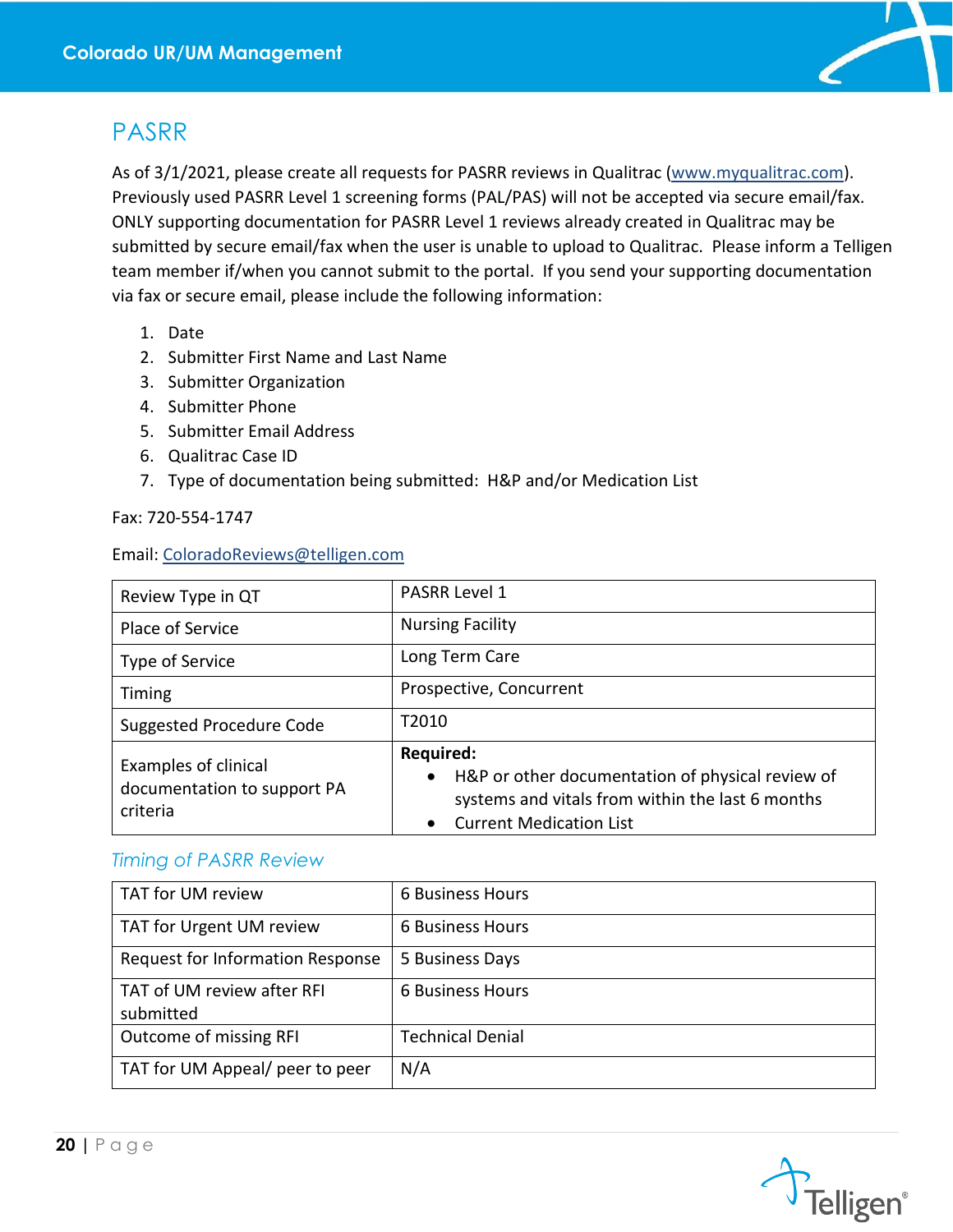

## <span id="page-20-0"></span>PASRR

As of 3/1/2021, please create all requests for PASRR reviews in Qualitrac [\(www.myqualitrac.com\)](http://www.myqualitrac.com/). Previously used PASRR Level 1 screening forms (PAL/PAS) will not be accepted via secure email/fax. ONLY supporting documentation for PASRR Level 1 reviews already created in Qualitrac may be submitted by secure email/fax when the user is unable to upload to Qualitrac. Please inform a Telligen team member if/when you cannot submit to the portal. If you send your supporting documentation via fax or secure email, please include the following information:

- 1. Date
- 2. Submitter First Name and Last Name
- 3. Submitter Organization
- 4. Submitter Phone
- 5. Submitter Email Address
- 6. Qualitrac Case ID
- 7. Type of documentation being submitted: H&P and/or Medication List

Fax: 720-554-1747

#### Email: [ColoradoReviews@telligen.com](mailto:ColoradoReviews@telligen.com)

| Review Type in QT                                               | <b>PASRR Level 1</b>                                                                                                                                                                 |  |  |  |
|-----------------------------------------------------------------|--------------------------------------------------------------------------------------------------------------------------------------------------------------------------------------|--|--|--|
| Place of Service                                                | <b>Nursing Facility</b>                                                                                                                                                              |  |  |  |
| Type of Service                                                 | Long Term Care                                                                                                                                                                       |  |  |  |
| Timing                                                          | Prospective, Concurrent                                                                                                                                                              |  |  |  |
| Suggested Procedure Code                                        | T2010                                                                                                                                                                                |  |  |  |
| Examples of clinical<br>documentation to support PA<br>criteria | <b>Required:</b><br>H&P or other documentation of physical review of<br>$\bullet$<br>systems and vitals from within the last 6 months<br><b>Current Medication List</b><br>$\bullet$ |  |  |  |

#### <span id="page-20-1"></span>*Timing of PASRR Review*

| TAT for UM review                       | 6 Business Hours        |
|-----------------------------------------|-------------------------|
| TAT for Urgent UM review                | 6 Business Hours        |
| Request for Information Response        | 5 Business Days         |
| TAT of UM review after RFI<br>submitted | 6 Business Hours        |
| Outcome of missing RFI                  | <b>Technical Denial</b> |
| TAT for UM Appeal/ peer to peer         | N/A                     |

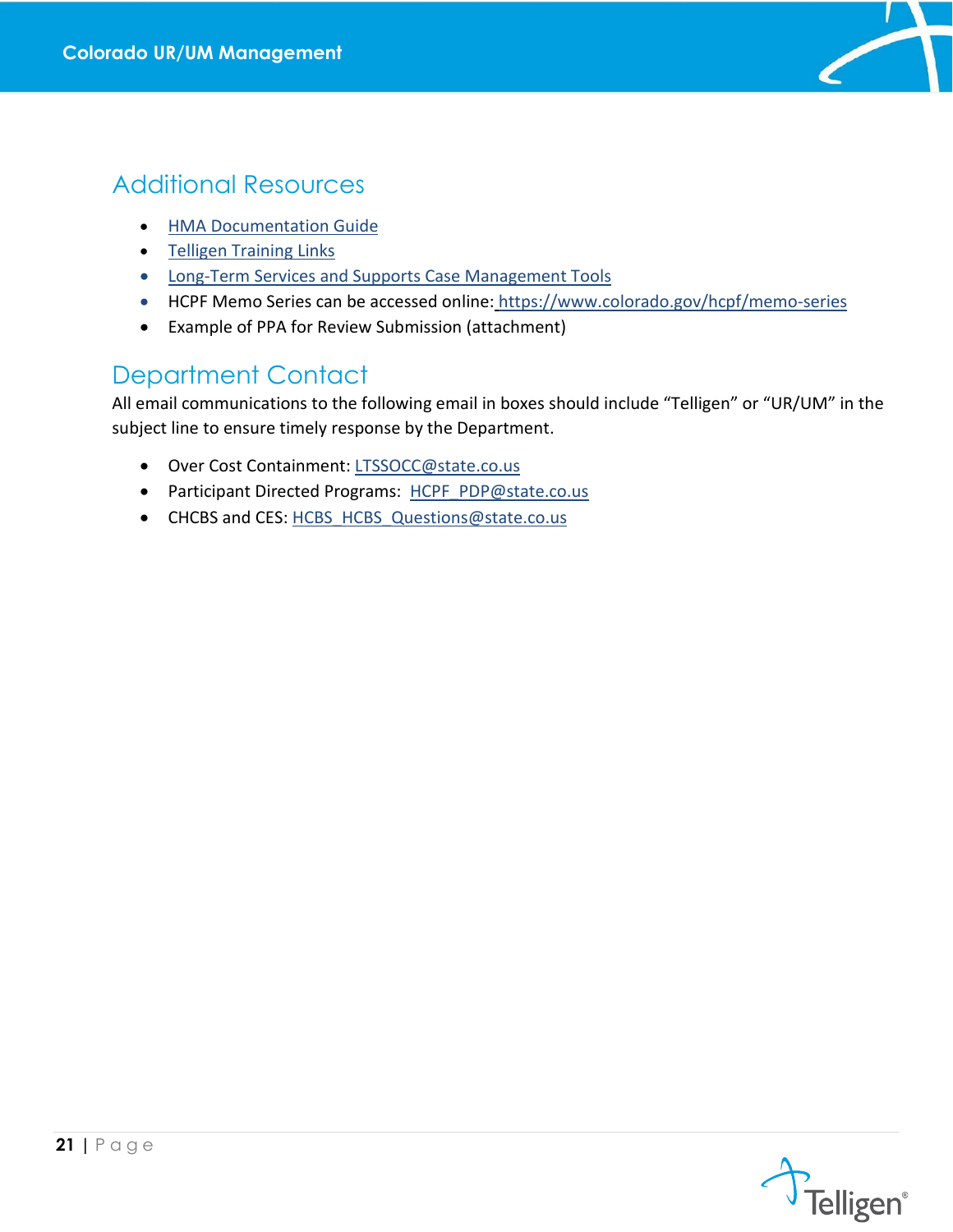

## <span id="page-21-0"></span>Additional Resources

- [HMA Documentation Guide](https://www.colorado.gov/pacific/sites/default/files/HMA%20Documentation%20Guide.pdf)
- [Telligen Training Links](https://www.colorado.gov/pacific/hcpf/long-term-services-and-supports-training)
- [Long-Term Services and Supports Case Management Tools](https://www.colorado.gov/hcpf/long-term-services-and-supports-case-management-tools)
- HCPF Memo Series can be accessed online: https://www.colorado.gov/hcpf/memo-series
- Example of PPA for Review Submission (attachment)

## <span id="page-21-1"></span>Department Contact

All email communications to the following email in boxes should include "Telligen" or "UR/UM" in the subject line to ensure timely response by the Department.

- Over Cost Containment: [LTSSOCC@state.co.us](mailto:LTSSOCC@state.co.us)
- Participant Directed Programs: [HCPF\\_PDP@state.co.us](mailto:HCPF_PDP@state.co.us)
- CHCBS and CES: [HCBS\\_HCBS\\_Questions@state.co.us](mailto:HCBS_HCBS_Questions@state.co.us)